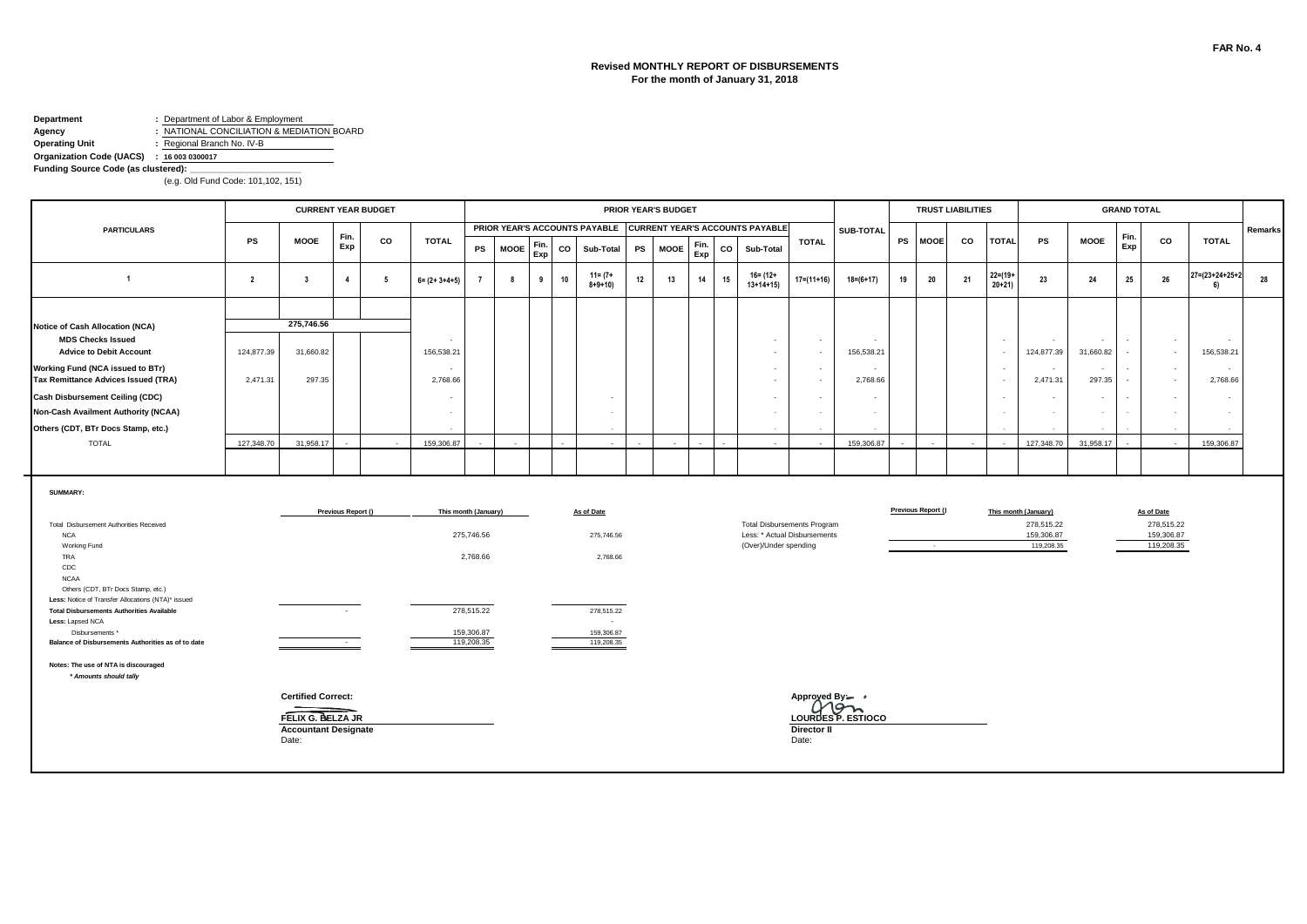### **Revised MONTHLY REPORT OF DISBURSEMENTS For the month of January 31, 2018**

#### **Department :** Department of Labor & Employment **Agency :** NATIONAL CONCILIATION & MEDIATION BOARD<br> **Operating Unit :** Regional Branch No. IV-B **Operating Unit :** Regional Branch No. IV-B

**Organization Code (UACS) : 16 003 0300017** Funding Source Code (as clustered):

|                                                                                                                                                                  |                |                                                |                          | <b>CURRENT YEAR BUDGET</b> |                                      |                          |             |             |    |                             |    | <b>PRIOR YEAR'S BUDGET</b> |             |    |                                                               |                                    |                                    |    |                    | <b>TRUST LIABILITIES</b> |                         |                                    |                     | <b>GRAND TOTAL</b> |                          |                      |         |
|------------------------------------------------------------------------------------------------------------------------------------------------------------------|----------------|------------------------------------------------|--------------------------|----------------------------|--------------------------------------|--------------------------|-------------|-------------|----|-----------------------------|----|----------------------------|-------------|----|---------------------------------------------------------------|------------------------------------|------------------------------------|----|--------------------|--------------------------|-------------------------|------------------------------------|---------------------|--------------------|--------------------------|----------------------|---------|
| <b>PARTICULARS</b>                                                                                                                                               |                |                                                | Fin.                     |                            |                                      |                          |             |             |    |                             |    |                            |             |    | PRIOR YEAR'S ACCOUNTS PAYABLE CURRENT YEAR'S ACCOUNTS PAYABLE |                                    | SUB-TOTAL                          |    |                    |                          |                         |                                    |                     | Fin.               |                          |                      | Remarks |
|                                                                                                                                                                  | <b>PS</b>      | <b>MOOE</b>                                    | Exp                      | co                         | <b>TOTAL</b>                         | PS                       | <b>MOOE</b> | Fin.<br>Exp | co | Sub-Total                   | PS | <b>MOOE</b>                | Fin.<br>Exp | CO | Sub-Total                                                     | <b>TOTAL</b>                       |                                    | PS | <b>MOOE</b>        | CO                       | <b>TOTAL</b>            | <b>PS</b>                          | <b>MOOE</b>         | Exp                | co                       | <b>TOTAL</b>         |         |
| $\overline{1}$                                                                                                                                                   | $\overline{2}$ | $\overline{\mathbf{3}}$                        | $\overline{4}$           | - 5                        | $6 = (2 + 3 + 4 + 5)$                | $\overline{7}$           | 8           | 9           | 10 | $11 = (7 +$<br>$8 + 9 + 10$ | 12 | 13                         | 14          | 15 | $16 = (12 +$<br>$13+14+15$                                    | $17 = (11 + 16)$                   | $18 = (6 + 17)$                    | 19 | 20                 | 21                       | $22 = (19 +$<br>$20+21$ | 23                                 | 24                  | 25                 | 26                       | 27=(23+24+25+2<br>6) | 28      |
|                                                                                                                                                                  |                |                                                |                          |                            |                                      |                          |             |             |    |                             |    |                            |             |    |                                                               |                                    |                                    |    |                    |                          |                         |                                    |                     |                    |                          |                      |         |
| Notice of Cash Allocation (NCA)<br><b>MDS Checks Issued</b><br><b>Advice to Debit Account</b>                                                                    | 124,877.39     | 275,746.56<br>31,660.82                        |                          |                            | $\sim$<br>156,538.21                 |                          |             |             |    |                             |    |                            |             |    | $\sim$                                                        | $\sim$<br>$\overline{\phantom{a}}$ | 156,538.21                         |    |                    |                          | $\sim$<br>$\sim$        | $\sim$<br>124,877.39               | $\sim$<br>31,660.82 | $\sim$             | $\sim$<br>$\sim$         | 156,538.21           |         |
| Working Fund (NCA issued to BTr)<br>Tax Remittance Advices Issued (TRA)                                                                                          | 2,471.31       | 297.35                                         |                          |                            | $\overline{\phantom{a}}$<br>2,768.66 |                          |             |             |    |                             |    |                            |             |    | $\sim$<br>$\sim$                                              | $\sim$<br>$\sim$                   | 2,768.66                           |    |                    |                          | $\sim$<br>$\sim$        | $\sim$<br>2,471.31                 | $\sim$<br>297.35    |                    | $\sim$<br>$\sim$         | $\sim$<br>2,768.66   |         |
| <b>Cash Disbursement Ceiling (CDC)</b><br>Non-Cash Availment Authority (NCAA)                                                                                    |                |                                                |                          |                            | $\overline{\phantom{a}}$<br>$\sim$   |                          |             |             |    |                             |    |                            |             |    |                                                               | $\sim$<br>$\sim$                   | $\overline{\phantom{a}}$<br>$\sim$ |    |                    |                          | $\sim$<br>$\sim$        | $\sim$<br>$\sim$                   | $\sim$              |                    | $\sim$<br>$\sim$         | $\sim$               |         |
| Others (CDT, BTr Docs Stamp, etc.)                                                                                                                               |                |                                                |                          |                            |                                      |                          |             |             |    |                             |    |                            |             |    |                                                               |                                    |                                    |    |                    |                          |                         |                                    |                     |                    |                          |                      |         |
| <b>TOTAL</b>                                                                                                                                                     | 127,348.70     | 31.958.17                                      |                          |                            | 159,306.87                           |                          |             |             |    |                             |    |                            |             |    |                                                               |                                    | 159,306.87                         |    |                    |                          | na.                     | 127.348.70                         | 31.958.17           |                    |                          | 159,306.87           |         |
| SUMMARY:<br>Total Disbursement Authorities Received                                                                                                              |                |                                                | Previous Report ()       |                            |                                      | This month (January)     |             |             |    | As of Date                  |    |                            |             |    |                                                               | <b>Total Disbursements Program</b> |                                    |    | Previous Report () |                          |                         | This month (January)<br>278,515.22 |                     |                    | As of Date<br>278,515.22 |                      |         |
| <b>NCA</b><br>Working Fund<br>TRA<br>CDC<br><b>NCAA</b>                                                                                                          |                |                                                |                          |                            |                                      | 275,746.56<br>2,768.66   |             |             |    | 275,746.56<br>2,768.66      |    |                            |             |    | (Over)/Under spending                                         | Less: * Actual Disbursements       |                                    |    | $\sim$             |                          |                         | 159,306.87<br>119,208.35           |                     |                    | 159,306.87<br>119,208.35 |                      |         |
| Others (CDT, BTr Docs Stamp, etc.)<br>Less: Notice of Transfer Allocations (NTA)* issued<br><b>Total Disbursements Authorities Available</b><br>Less: Lapsed NCA |                |                                                |                          |                            |                                      | 278,515.22               |             |             |    | 278,515.22<br>$\sim$        |    |                            |             |    |                                                               |                                    |                                    |    |                    |                          |                         |                                    |                     |                    |                          |                      |         |
| Disbursements *<br>Balance of Disbursements Authorities as of to date                                                                                            |                |                                                | <b>Contract Contract</b> |                            |                                      | 159,306.87<br>119,208.35 |             |             |    | 159,306.87<br>119,208.35    |    |                            |             |    |                                                               |                                    |                                    |    |                    |                          |                         |                                    |                     |                    |                          |                      |         |
| Notes: The use of NTA is discouraged<br>* Amounts should tally                                                                                                   |                |                                                |                          |                            |                                      |                          |             |             |    |                             |    |                            |             |    |                                                               |                                    |                                    |    |                    |                          |                         |                                    |                     |                    |                          |                      |         |
|                                                                                                                                                                  |                | <b>Certified Correct:</b><br>FELIX G. BELZA JR |                          |                            |                                      |                          |             |             |    |                             |    |                            |             |    |                                                               | Approved By -<br>Com               | LOURDES P. ESTIOCO                 |    |                    |                          |                         |                                    |                     |                    |                          |                      |         |
|                                                                                                                                                                  |                | <b>Accountant Designate</b><br>Date:           |                          |                            |                                      |                          |             |             |    |                             |    |                            |             |    |                                                               | Director II<br>Date:               |                                    |    |                    |                          |                         |                                    |                     |                    |                          |                      |         |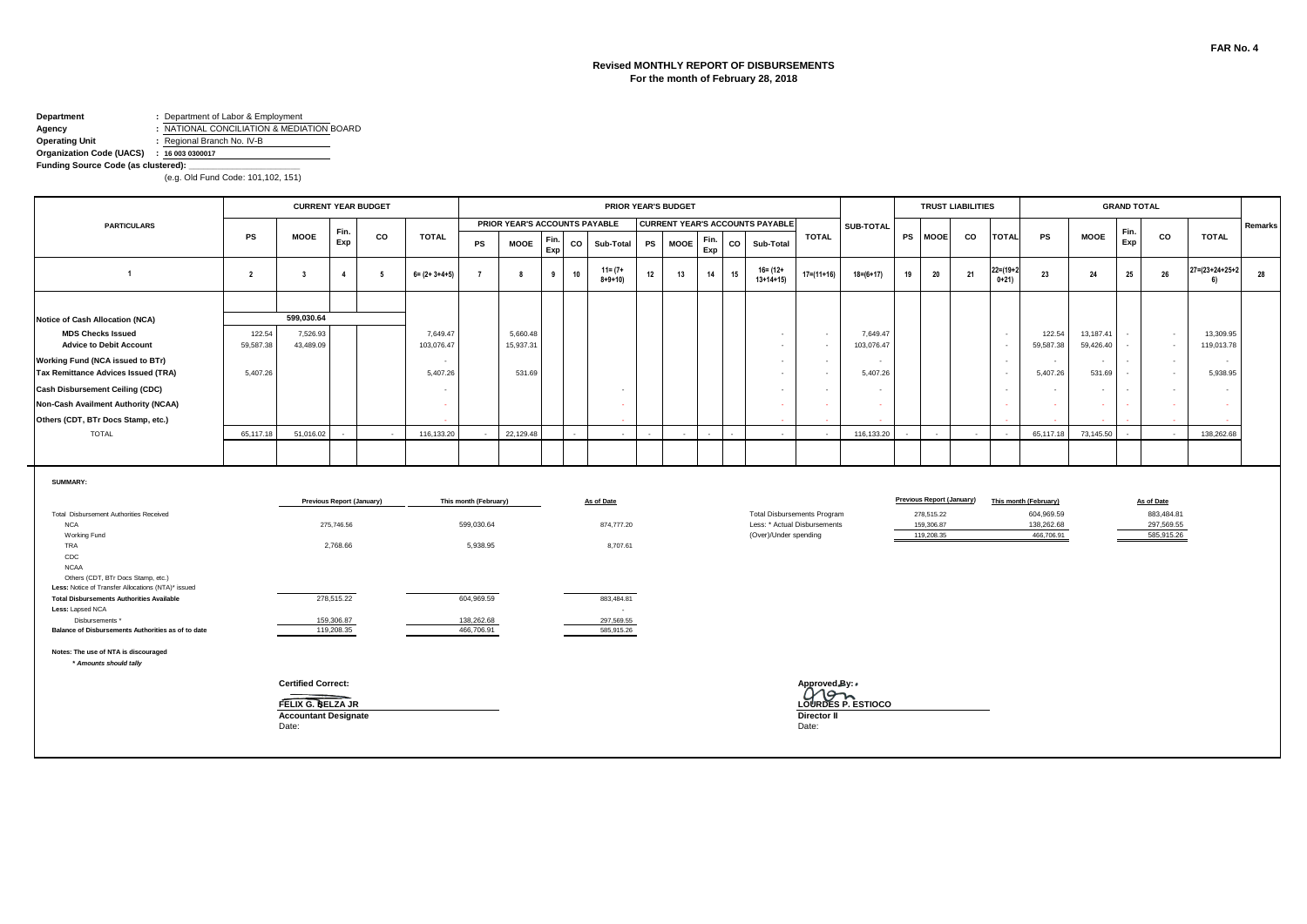#### **Revised MONTHLY REPORT OF DISBURSEMENTS For the month of February 28, 2018**

#### **Department :** Department of Labor & Employment **Agency :** NATIONAL CONCILIATION & MEDIATION BOARD

**Operating Unit :** Regional Branch No. IV-B

#### **Organization Code (UACS) : 16 003 0300017** Funding Source Code (as clustered):

|                                                                                                                            |                     |                             |                                  | <b>CURRENT YEAR BUDGET</b> |                                      |                       |                               |             |    |                             |    | <b>PRIOR YEAR'S BUDGET</b> |             |    |                                        |                          |                                    |                                    |    |                                                | <b>TRUST LIABILITIES</b> |                                    |                                     |                        | <b>GRAND TOTAL</b> |                          |                                 |         |
|----------------------------------------------------------------------------------------------------------------------------|---------------------|-----------------------------|----------------------------------|----------------------------|--------------------------------------|-----------------------|-------------------------------|-------------|----|-----------------------------|----|----------------------------|-------------|----|----------------------------------------|--------------------------|------------------------------------|------------------------------------|----|------------------------------------------------|--------------------------|------------------------------------|-------------------------------------|------------------------|--------------------|--------------------------|---------------------------------|---------|
| <b>PARTICULARS</b>                                                                                                         |                     |                             |                                  |                            |                                      |                       | PRIOR YEAR'S ACCOUNTS PAYABLE |             |    |                             |    |                            |             |    | <b>CURRENT YEAR'S ACCOUNTS PAYABLE</b> |                          |                                    | SUB-TOTAL                          |    |                                                |                          |                                    |                                     |                        |                    |                          |                                 | Remarks |
|                                                                                                                            | PS                  | <b>MOOE</b>                 | Fin.<br>Exp                      | CO                         | <b>TOTAL</b>                         | PS                    | <b>MOOE</b>                   | Fin.<br>Exp | CO | Sub-Total                   | PS | <b>MOOE</b>                | Fin.<br>Exp | co | Sub-Total                              |                          | <b>TOTAL</b>                       |                                    |    | PS MOOE                                        | CO                       | <b>TOTAL</b>                       | PS                                  | <b>MOOE</b>            | Fin.<br>Exp        | co                       | <b>TOTAL</b>                    |         |
| $\overline{1}$                                                                                                             | $\overline{2}$      | $\overline{\mathbf{3}}$     | $\overline{4}$                   | 5                          | $6 = (2 + 3 + 4 + 5)$                | $\overline{7}$        | 8                             | 9           | 10 | $11 = (7 +$<br>$8 + 9 + 10$ | 12 | 13                         | 14          | 15 | $16 = (12 +$<br>$13+14+15$             |                          | $17=(11+16)$                       | $18 = (6 + 17)$                    | 19 | 20                                             | 21                       | $22 = (19 + 2)$<br>$0+21$          | 23                                  | 24                     | 25                 | 26                       | $27 = (23 + 24 + 25 + 2)$<br>6) | 28      |
|                                                                                                                            |                     |                             |                                  |                            |                                      |                       |                               |             |    |                             |    |                            |             |    |                                        |                          |                                    |                                    |    |                                                |                          |                                    |                                     |                        |                    |                          |                                 |         |
| <b>Notice of Cash Allocation (NCA)</b>                                                                                     |                     | 599,030.64                  |                                  |                            |                                      |                       |                               |             |    |                             |    |                            |             |    |                                        |                          |                                    |                                    |    |                                                |                          |                                    |                                     |                        |                    |                          |                                 |         |
| <b>MDS Checks Issued</b><br><b>Advice to Debit Account</b>                                                                 | 122.54<br>59,587.38 | 7,526.93<br>43,489.09       |                                  |                            | 7,649.47<br>103,076.47               |                       | 5,660.48<br>15,937.31         |             |    |                             |    |                            |             |    |                                        | $\sim$                   | $\sim$                             | 7,649.47<br>103,076.47             |    |                                                |                          | $\sim$<br>$\overline{\phantom{a}}$ | 122.54<br>59,587.38                 | 13,187.41<br>59,426.40 |                    | $\sim$<br>$\sim$         | 13,309.95<br>119,013.78         |         |
| Working Fund (NCA issued to BTr)<br>Tax Remittance Advices Issued (TRA)                                                    | 5,407.26            |                             |                                  |                            | $\overline{\phantom{a}}$<br>5,407.26 |                       | 531.69                        |             |    |                             |    |                            |             |    |                                        | $\sim$<br>$\sim$         | $\sim$<br>٠.                       | $\sim$<br>5,407.26                 |    |                                                |                          | $\sim$<br>$\sim$                   | $\sim$<br>5,407.26                  | $\sim$<br>531.69       | $\sim$             | $\sim$<br>$\sim$         | $\sim$<br>5,938.95              |         |
| <b>Cash Disbursement Ceiling (CDC)</b>                                                                                     |                     |                             |                                  |                            |                                      |                       |                               |             |    |                             |    |                            |             |    |                                        | $\overline{\phantom{a}}$ | $\overline{\phantom{a}}$           | $\sim$                             |    |                                                |                          | $\overline{\phantom{a}}$           | $\sim$                              | $\sim$                 |                    | $\sim$                   | ٠                               |         |
| Non-Cash Availment Authority (NCAA)                                                                                        |                     |                             |                                  |                            |                                      |                       |                               |             |    |                             |    |                            |             |    |                                        |                          |                                    | in 1919.                           |    |                                                |                          | in a                               | $\sim$                              | $\sim$                 |                    | $\sim$                   |                                 |         |
| Others (CDT, BTr Docs Stamp, etc.)                                                                                         |                     |                             |                                  |                            |                                      |                       |                               |             |    |                             |    |                            |             |    |                                        |                          |                                    |                                    |    |                                                |                          |                                    |                                     |                        |                    |                          |                                 |         |
| <b>TOTAL</b>                                                                                                               | 65,117.18           | 51,016.02                   |                                  | $\sim$                     | 116,133.20                           |                       | 22,129.48                     |             |    | $\sim$                      |    |                            |             |    |                                        | $\sim$                   | $\sim$                             | 116,133.20                         |    | $\sim$                                         | $\overline{\phantom{a}}$ |                                    | 65.117.18                           | 73,145.50              |                    |                          | 138,262.68                      |         |
|                                                                                                                            |                     |                             |                                  |                            |                                      |                       |                               |             |    |                             |    |                            |             |    |                                        |                          |                                    |                                    |    |                                                |                          |                                    |                                     |                        |                    |                          |                                 |         |
| SUMMARY:                                                                                                                   |                     |                             |                                  |                            |                                      |                       |                               |             |    |                             |    |                            |             |    |                                        |                          |                                    |                                    |    |                                                |                          |                                    |                                     |                        |                    |                          |                                 |         |
| Total Disbursement Authorities Received                                                                                    |                     |                             | <b>Previous Report (January)</b> |                            |                                      | This month (February) |                               |             |    | As of Date                  |    |                            |             |    |                                        |                          | <b>Total Disbursements Program</b> |                                    |    | <b>Previous Report (January)</b><br>278,515.22 |                          |                                    | This month (February)<br>604,969.59 |                        |                    | As of Date<br>883,484.81 |                                 |         |
| <b>NCA</b>                                                                                                                 |                     |                             | 275,746.56                       |                            |                                      | 599,030.64            |                               |             |    | 874,777.20                  |    |                            |             |    |                                        |                          | Less: * Actual Disbursements       |                                    |    | 159,306.87                                     |                          |                                    | 138,262.68                          |                        |                    | 297,569.55               |                                 |         |
| Working Fund                                                                                                               |                     |                             |                                  |                            |                                      |                       |                               |             |    |                             |    |                            |             |    |                                        | (Over)/Under spending    |                                    |                                    |    | 119,208.35                                     |                          |                                    | 466,706.91                          |                        |                    | 585,915.26               |                                 |         |
| TRA<br>CDC                                                                                                                 |                     |                             | 2,768.66                         |                            |                                      | 5,938.95              |                               |             |    | 8,707.61                    |    |                            |             |    |                                        |                          |                                    |                                    |    |                                                |                          |                                    |                                     |                        |                    |                          |                                 |         |
| <b>NCAA</b><br>Others (CDT, BTr Docs Stamp, etc.)                                                                          |                     |                             |                                  |                            |                                      |                       |                               |             |    |                             |    |                            |             |    |                                        |                          |                                    |                                    |    |                                                |                          |                                    |                                     |                        |                    |                          |                                 |         |
| Less: Notice of Transfer Allocations (NTA)* issued<br><b>Total Disbursements Authorities Available</b><br>Less: Lapsed NCA |                     |                             | 278,515.22                       |                            |                                      | 604,969.59            |                               |             |    | 883,484.81<br>$\sim$        |    |                            |             |    |                                        |                          |                                    |                                    |    |                                                |                          |                                    |                                     |                        |                    |                          |                                 |         |
| Disbursements *                                                                                                            |                     |                             | 159,306.87                       |                            |                                      | 138,262.68            |                               |             |    | 297,569.55                  |    |                            |             |    |                                        |                          |                                    |                                    |    |                                                |                          |                                    |                                     |                        |                    |                          |                                 |         |
| Balance of Disbursements Authorities as of to date                                                                         |                     |                             | 119,208.35                       |                            |                                      | 466,706.91            |                               |             |    | 585,915.26                  |    |                            |             |    |                                        |                          |                                    |                                    |    |                                                |                          |                                    |                                     |                        |                    |                          |                                 |         |
| Notes: The use of NTA is discouraged<br>* Amounts should tally                                                             |                     |                             |                                  |                            |                                      |                       |                               |             |    |                             |    |                            |             |    |                                        |                          |                                    |                                    |    |                                                |                          |                                    |                                     |                        |                    |                          |                                 |         |
|                                                                                                                            |                     | <b>Certified Correct:</b>   |                                  |                            |                                      |                       |                               |             |    |                             |    |                            |             |    |                                        |                          |                                    |                                    |    |                                                |                          |                                    |                                     |                        |                    |                          |                                 |         |
|                                                                                                                            |                     | FELIX G. BELZA JR           |                                  |                            |                                      |                       |                               |             |    |                             |    |                            |             |    |                                        |                          |                                    | Approved By:<br>LOURDES P. ESTIOCO |    |                                                |                          |                                    |                                     |                        |                    |                          |                                 |         |
|                                                                                                                            |                     | <b>Accountant Designate</b> |                                  |                            |                                      |                       |                               |             |    |                             |    |                            |             |    |                                        |                          | Director II                        |                                    |    |                                                |                          |                                    |                                     |                        |                    |                          |                                 |         |
|                                                                                                                            |                     | Date:                       |                                  |                            |                                      |                       |                               |             |    |                             |    |                            |             |    |                                        |                          | Date:                              |                                    |    |                                                |                          |                                    |                                     |                        |                    |                          |                                 |         |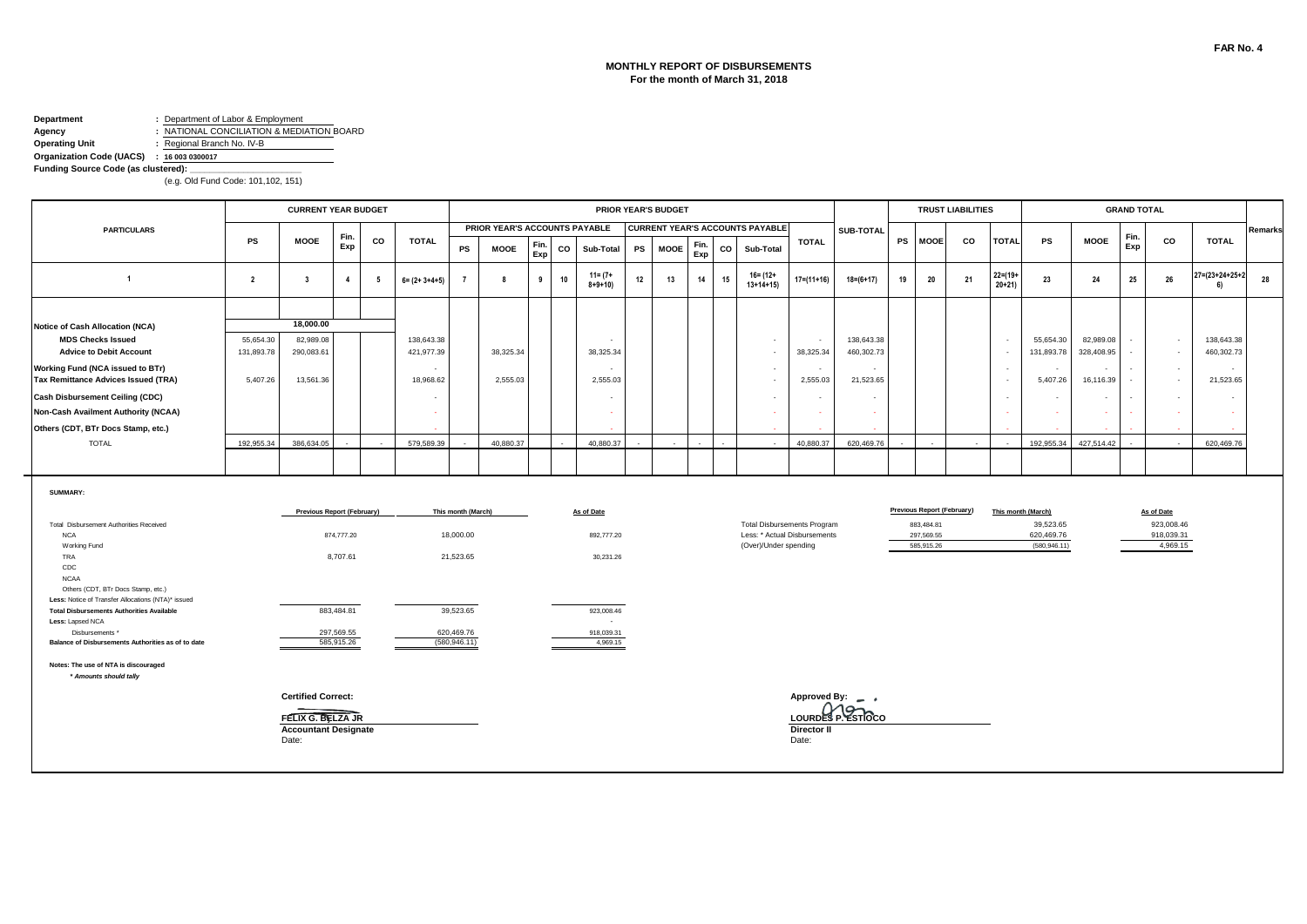#### **MONTHLY REPORT OF DISBURSEMENTS For the month of March 31, 2018**

### **Department :** Department of Labor & Employment

**Agency :** NATIONAL CONCILIATION & MEDIATION BOARD<br> **Operating Unit :** Regional Branch No. IV-B **Operating Unit :** Regional Branch No. IV-B

۰.

**Organization Code (UACS) : 16 003 0300017**

**Funding Source Code (as clustered):** 

|                                                                                          |                         | <b>CURRENT YEAR BUDGET</b>           |                          |    |                          |                             |                               |             |    |                             |    | <b>PRIOR YEAR'S BUDGET</b> |             |    |                                                       |                      |                          |    |                            | <b>TRUST LIABILITIES</b> |                           |                             |                         | <b>GRAND TOTAL</b> |                                    |                                  |         |
|------------------------------------------------------------------------------------------|-------------------------|--------------------------------------|--------------------------|----|--------------------------|-----------------------------|-------------------------------|-------------|----|-----------------------------|----|----------------------------|-------------|----|-------------------------------------------------------|----------------------|--------------------------|----|----------------------------|--------------------------|---------------------------|-----------------------------|-------------------------|--------------------|------------------------------------|----------------------------------|---------|
| <b>PARTICULARS</b>                                                                       |                         |                                      | Fin.                     |    |                          |                             | PRIOR YEAR'S ACCOUNTS PAYABLE |             |    |                             |    |                            |             |    | <b>CURRENT YEAR'S ACCOUNTS PAYABLE</b>                |                      | SUB-TOTAL                |    |                            |                          |                           |                             |                         | Fin.               |                                    |                                  | Remarks |
|                                                                                          | PS                      | <b>MOOE</b>                          | Exp                      | CO | <b>TOTAL</b>             | PS                          | <b>MOOE</b>                   | Fin.<br>Exp | co | Sub-Total                   | PS | <b>MOOE</b>                | Fin.<br>Exp | co | Sub-Total                                             | <b>TOTAL</b>         |                          |    | PS MOOE                    | CO                       | <b>TOTAL</b>              | PS                          | <b>MOOE</b>             | Exp                | co                                 | <b>TOTAL</b>                     |         |
| $\overline{1}$                                                                           | $\overline{2}$          | $\overline{\mathbf{3}}$              | $\overline{4}$           | 5  | $6 = (2 + 3 + 4 + 5)$    |                             | 8                             | 9           | 10 | $11 = (7 +$<br>$8 + 9 + 10$ | 12 | 13                         | 14          | 15 | 16= (12+<br>$13+14+15$                                | $17=(11+16)$         | $18 = (6 + 17)$          | 19 | 20                         | 21                       | $22 = (19 +$<br>$20 + 21$ | 23                          | 24                      | 25                 | 26                                 | $27 = (23 + 24 + 25 + 2)$<br>-61 | 28      |
|                                                                                          |                         |                                      |                          |    |                          |                             |                               |             |    |                             |    |                            |             |    |                                                       |                      |                          |    |                            |                          |                           |                             |                         |                    |                                    |                                  |         |
| <b>Notice of Cash Allocation (NCA)</b>                                                   |                         | 18,000.00                            |                          |    |                          |                             |                               |             |    |                             |    |                            |             |    |                                                       |                      |                          |    |                            |                          |                           |                             |                         |                    |                                    |                                  |         |
| <b>MDS Checks Issued</b><br><b>Advice to Debit Account</b>                               | 55,654.30<br>131,893.78 | 82,989.08<br>290,083.61              |                          |    | 138,643.38<br>421,977.39 |                             | 38,325.34                     |             |    | 38,325.34                   |    |                            |             |    | $\sim$<br>$\sim$                                      | $\sim$<br>38,325.34  | 138,643.38<br>460,302.73 |    |                            |                          | $\sim$<br>$\sim$          | 55,654.30<br>131,893.78     | 82,989.08<br>328,408.95 |                    | $\sim$<br>$\sim$                   | 138,643.38<br>460,302.73         |         |
| Working Fund (NCA issued to BTr)<br>Tax Remittance Advices Issued (TRA)                  | 5,407.26                | 13,561.36                            |                          |    | 18,968.62                |                             | 2,555.03                      |             |    | 2,555.03                    |    |                            |             |    | $\sim$<br>$\sim$                                      | $\sim$<br>2,555.03   | $\sim$<br>21,523.65      |    |                            |                          | $\sim$<br>$\sim$          | $\sim$<br>5,407.26          | 16,116.39               |                    | $\overline{\phantom{a}}$<br>$\sim$ | $\sim$<br>21,523.65              |         |
| <b>Cash Disbursement Ceiling (CDC)</b>                                                   |                         |                                      |                          |    |                          |                             |                               |             |    |                             |    |                            |             |    | $\sim$                                                |                      | $\sim$                   |    |                            |                          | $\sim$                    | $\sim$                      | $\sim$                  | $\sim$             | $\sim$                             | $\sim$                           |         |
| Non-Cash Availment Authority (NCAA)                                                      |                         |                                      |                          |    |                          |                             |                               |             |    |                             |    |                            |             |    | $\sim$                                                |                      | $\sim$                   |    |                            |                          | $\overline{\phantom{a}}$  | ÷                           |                         |                    |                                    | ÷.                               |         |
| Others (CDT, BTr Docs Stamp, etc.)                                                       |                         |                                      |                          |    |                          |                             |                               |             |    |                             |    |                            |             |    |                                                       |                      |                          |    |                            |                          |                           |                             |                         |                    |                                    |                                  |         |
| <b>TOTAL</b>                                                                             | 192.955.34              | 386.634.05                           |                          |    | 579.589.39               |                             | 40.880.37                     |             |    | 40.880.37                   |    |                            |             |    | $\sim$                                                | 40.880.37            | 620.469.76               |    |                            |                          | $\sim$                    | 192.955.34                  | 427,514.42              |                    |                                    | 620.469.76                       |         |
|                                                                                          |                         |                                      |                          |    |                          |                             |                               |             |    |                             |    |                            |             |    |                                                       |                      |                          |    |                            |                          |                           |                             |                         |                    |                                    |                                  |         |
| SUMMARY:                                                                                 |                         | <b>Previous Report (February)</b>    |                          |    |                          | This month (March)          |                               |             |    | As of Date                  |    |                            |             |    |                                                       |                      |                          |    | Previous Report (February) |                          |                           | This month (March)          |                         |                    | As of Date                         |                                  |         |
| Total Disbursement Authorities Received                                                  |                         |                                      |                          |    |                          |                             |                               |             |    |                             |    |                            |             |    | <b>Total Disbursements Program</b>                    |                      |                          |    | 883,484.81                 |                          |                           | 39,523.65                   |                         |                    | 923,008.46                         |                                  |         |
| <b>NCA</b><br>Working Fund                                                               |                         |                                      | 874,777.20               |    |                          | 18,000.00                   |                               |             |    | 892,777.20                  |    |                            |             |    | Less: * Actual Disbursements<br>(Over)/Under spending |                      |                          |    | 297,569.55<br>585,915.26   |                          |                           | 620,469.76<br>(580, 946.11) |                         |                    | 918,039.31<br>4,969.15             |                                  |         |
| TRA                                                                                      |                         |                                      | 8,707.61                 |    |                          | 21,523.65                   |                               |             |    | 30,231.26                   |    |                            |             |    |                                                       |                      |                          |    |                            |                          |                           |                             |                         |                    |                                    |                                  |         |
| CDC<br><b>NCAA</b>                                                                       |                         |                                      |                          |    |                          |                             |                               |             |    |                             |    |                            |             |    |                                                       |                      |                          |    |                            |                          |                           |                             |                         |                    |                                    |                                  |         |
| Others (CDT, BTr Docs Stamp, etc.)<br>Less: Notice of Transfer Allocations (NTA)* issued |                         |                                      |                          |    |                          |                             |                               |             |    |                             |    |                            |             |    |                                                       |                      |                          |    |                            |                          |                           |                             |                         |                    |                                    |                                  |         |
| <b>Total Disbursements Authorities Available</b><br>Less: Lapsed NCA                     |                         |                                      | 883,484.81               |    |                          | 39,523.65                   |                               |             |    | 923,008.46<br>$\sim$        |    |                            |             |    |                                                       |                      |                          |    |                            |                          |                           |                             |                         |                    |                                    |                                  |         |
| Disbursements '<br>Balance of Disbursements Authorities as of to date                    |                         |                                      | 297,569.55<br>585,915.26 |    |                          | 620,469.76<br>(580, 946.11) |                               |             |    | 918,039.31<br>4,969.15      |    |                            |             |    |                                                       |                      |                          |    |                            |                          |                           |                             |                         |                    |                                    |                                  |         |
| Notes: The use of NTA is discouraged<br>* Amounts should tally                           |                         |                                      |                          |    |                          |                             |                               |             |    |                             |    |                            |             |    |                                                       |                      |                          |    |                            |                          |                           |                             |                         |                    |                                    |                                  |         |
|                                                                                          |                         | <b>Certified Correct:</b>            |                          |    |                          |                             |                               |             |    |                             |    |                            |             |    |                                                       |                      | Approved By: _ ,         |    |                            |                          |                           |                             |                         |                    |                                    |                                  |         |
|                                                                                          |                         | FELIX G. BELZA JR                    |                          |    |                          |                             |                               |             |    |                             |    |                            |             |    |                                                       |                      | LOURDES P. ESTIOCO       |    |                            |                          |                           |                             |                         |                    |                                    |                                  |         |
|                                                                                          |                         | <b>Accountant Designate</b><br>Date: |                          |    |                          |                             |                               |             |    |                             |    |                            |             |    |                                                       | Director II<br>Date: |                          |    |                            |                          |                           |                             |                         |                    |                                    |                                  |         |
|                                                                                          |                         |                                      |                          |    |                          |                             |                               |             |    |                             |    |                            |             |    |                                                       |                      |                          |    |                            |                          |                           |                             |                         |                    |                                    |                                  |         |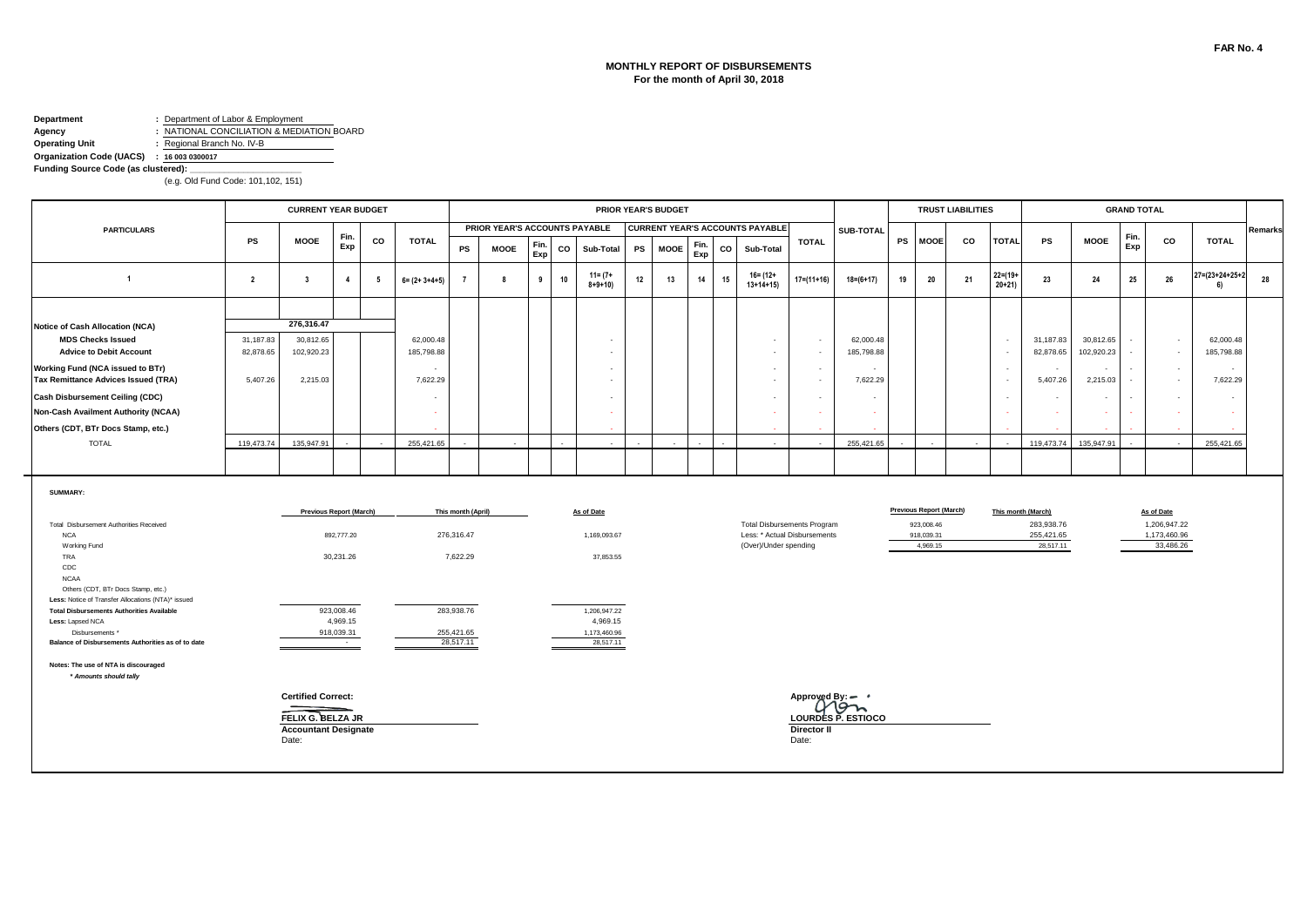#### **MONTHLY REPORT OF DISBURSEMENTS For the month of April 30, 2018**

### **Department :** Department of Labor & Employment

**Agency :** NATIONAL CONCILIATION & MEDIATION BOARD<br> **Operating Unit :** Regional Branch No. IV-B **Operating Unit :** Regional Branch No. IV-B

**Organization Code (UACS) : 16 003 0300017**

**Funding Source Code (as clustered):** 

|                                                                                          |                         | <b>CURRENT YEAR BUDGET</b>     |                        |                 |                         |                    |                               |             |    |                             |           | <b>PRIOR YEAR'S BUDGET</b> |             |    |                                                       |                  |                         |    |                                | <b>TRUST LIABILITIES</b> |                         |                         |                         | <b>GRAND TOTAL</b> |                                    |                         |         |
|------------------------------------------------------------------------------------------|-------------------------|--------------------------------|------------------------|-----------------|-------------------------|--------------------|-------------------------------|-------------|----|-----------------------------|-----------|----------------------------|-------------|----|-------------------------------------------------------|------------------|-------------------------|----|--------------------------------|--------------------------|-------------------------|-------------------------|-------------------------|--------------------|------------------------------------|-------------------------|---------|
| <b>PARTICULARS</b>                                                                       |                         |                                | Fin.                   |                 |                         |                    | PRIOR YEAR'S ACCOUNTS PAYABLE |             |    |                             |           |                            |             |    | <b>CURRENT YEAR'S ACCOUNTS PAYABLE</b>                |                  | SUB-TOTAL               |    |                                |                          |                         |                         |                         | Fin.               |                                    |                         | Remarks |
|                                                                                          | PS                      | <b>MOOE</b>                    | Exp                    | CO              | <b>TOTAL</b>            | PS                 | <b>MOOE</b>                   | Fin.<br>Exp | CO | Sub-Total                   | <b>PS</b> | <b>MOOE</b>                | Fin.<br>Exp | CO | Sub-Total                                             | <b>TOTAL</b>     |                         |    | PS MOOE                        | CO                       | <b>TOTAL</b>            | PS                      | <b>MOOE</b>             | Exp                | co                                 | <b>TOTAL</b>            |         |
| $\overline{1}$                                                                           | $\overline{\mathbf{2}}$ | $\overline{\mathbf{3}}$        | $\overline{4}$         | $5\overline{5}$ | $6 = (2 + 3 + 4 + 5)$   | $\overline{7}$     | -8                            | 9           | 10 | $11 = (7 +$<br>$8 + 9 + 10$ | 12        | 13                         | 14          | 15 | $16 = (12 +$<br>$13+14+15$                            | $17 = (11 + 16)$ | $18 = (6 + 17)$         | 19 | 20                             | 21                       | $22 = (19 +$<br>$20+21$ | 23                      | 24                      | 25                 | 26                                 | 27=(23+24+25+2<br>6)    | 28      |
|                                                                                          |                         |                                |                        |                 |                         |                    |                               |             |    |                             |           |                            |             |    |                                                       |                  |                         |    |                                |                          |                         |                         |                         |                    |                                    |                         |         |
| Notice of Cash Allocation (NCA)                                                          |                         | 276,316.47                     |                        |                 |                         |                    |                               |             |    |                             |           |                            |             |    |                                                       |                  |                         |    |                                |                          |                         |                         |                         |                    |                                    |                         |         |
| <b>MDS Checks Issued</b><br><b>Advice to Debit Account</b>                               | 31,187.83<br>82,878.65  | 30,812.65<br>102,920.23        |                        |                 | 62,000.48<br>185,798.88 |                    |                               |             |    |                             |           |                            |             |    | $\sim$<br>$\sim$                                      | $\sim$<br>$\sim$ | 62,000.48<br>185,798.88 |    |                                |                          | $\sim$<br>٠.            | 31,187.83<br>82,878.65  | 30,812.65<br>102,920.23 |                    | $\sim$<br>$\sim$                   | 62,000.48<br>185,798.88 |         |
| Working Fund (NCA issued to BTr)<br>Tax Remittance Advices Issued (TRA)                  | 5,407.26                | 2,215.03                       |                        |                 | 7,622.29                |                    |                               |             |    |                             |           |                            |             |    | $\sim$<br>$\sim$                                      | $\sim$<br>$\sim$ | 7,622.29                |    |                                |                          | - 1<br>- 1              | $\sim$<br>5,407.26      | $\sim$<br>2,215.03      |                    | $\overline{\phantom{a}}$<br>$\sim$ | 7,622.29                |         |
| <b>Cash Disbursement Ceiling (CDC)</b>                                                   |                         |                                |                        |                 |                         |                    |                               |             |    |                             |           |                            |             |    | $\overline{\phantom{a}}$                              | $\sim$           |                         |    |                                |                          | . .                     | $\sim$                  | $\sim$                  |                    |                                    | $\sim$                  |         |
| <b>Non-Cash Availment Authority (NCAA)</b>                                               |                         |                                |                        |                 |                         |                    |                               |             |    |                             |           |                            |             |    |                                                       | $\sim$           |                         |    |                                |                          |                         | $\sim$                  | ÷.                      |                    |                                    |                         |         |
| Others (CDT, BTr Docs Stamp, etc.)                                                       |                         |                                |                        |                 |                         |                    |                               |             |    |                             |           |                            |             |    |                                                       |                  |                         |    |                                |                          |                         |                         |                         |                    |                                    |                         |         |
| <b>TOTAL</b>                                                                             | 119,473.74              | 135,947.91                     |                        |                 | 255.421.65              |                    |                               |             |    |                             |           |                            |             |    |                                                       |                  | 255.421.65              |    |                                |                          |                         | 119,473.74              | 135.947.91              |                    |                                    | 255.421.65              |         |
|                                                                                          |                         |                                |                        |                 |                         |                    |                               |             |    |                             |           |                            |             |    |                                                       |                  |                         |    |                                |                          |                         |                         |                         |                    |                                    |                         |         |
| <b>SUMMARY:</b>                                                                          |                         | <b>Previous Report (March)</b> |                        |                 |                         | This month (April) |                               |             |    | As of Date                  |           |                            |             |    |                                                       |                  |                         |    | <b>Previous Report (March)</b> |                          |                         | This month (March)      |                         |                    | As of Date                         |                         |         |
| Total Disbursement Authorities Received                                                  |                         |                                |                        |                 |                         |                    |                               |             |    |                             |           |                            |             |    | <b>Total Disbursements Program</b>                    |                  |                         |    | 923,008.46                     |                          |                         | 283,938.76              |                         |                    | 1,206,947.22                       |                         |         |
| <b>NCA</b><br>Working Fund                                                               |                         |                                | 892,777.20             |                 |                         | 276,316.47         |                               |             |    | 1,169,093.67                |           |                            |             |    | Less: * Actual Disbursements<br>(Over)/Under spending |                  |                         |    | 918,039.31<br>4,969.15         |                          |                         | 255,421.65<br>28,517.11 |                         |                    | 1,173,460.96<br>33,486.26          |                         |         |
| TRA<br>CDC<br><b>NCAA</b>                                                                |                         |                                | 30,231.26              |                 |                         | 7,622.29           |                               |             |    | 37,853.55                   |           |                            |             |    |                                                       |                  |                         |    |                                |                          |                         |                         |                         |                    |                                    |                         |         |
| Others (CDT, BTr Docs Stamp, etc.)<br>Less: Notice of Transfer Allocations (NTA)* issued |                         |                                |                        |                 |                         |                    |                               |             |    |                             |           |                            |             |    |                                                       |                  |                         |    |                                |                          |                         |                         |                         |                    |                                    |                         |         |
| <b>Total Disbursements Authorities Available</b><br>Less: Lapsed NCA                     |                         |                                | 923,008.46<br>4,969.15 |                 |                         | 283,938.76         |                               |             |    | 1,206,947.22<br>4,969.15    |           |                            |             |    |                                                       |                  |                         |    |                                |                          |                         |                         |                         |                    |                                    |                         |         |
| Disbursements *                                                                          |                         |                                | 918,039.31             |                 |                         | 255,421.65         |                               |             |    | 1,173,460.96                |           |                            |             |    |                                                       |                  |                         |    |                                |                          |                         |                         |                         |                    |                                    |                         |         |
| Balance of Disbursements Authorities as of to date                                       |                         |                                | <b>Contract</b>        |                 |                         | 28,517.11          |                               |             |    | 28,517.11                   |           |                            |             |    |                                                       |                  |                         |    |                                |                          |                         |                         |                         |                    |                                    |                         |         |
| Notes: The use of NTA is discouraged<br>* Amounts should tally                           |                         |                                |                        |                 |                         |                    |                               |             |    |                             |           |                            |             |    |                                                       |                  |                         |    |                                |                          |                         |                         |                         |                    |                                    |                         |         |
|                                                                                          |                         | <b>Certified Correct:</b>      |                        |                 |                         |                    |                               |             |    |                             |           |                            |             |    |                                                       | Approved By =    |                         |    |                                |                          |                         |                         |                         |                    |                                    |                         |         |
|                                                                                          |                         | FELIX G. BELZA JR              |                        |                 |                         |                    |                               |             |    |                             |           |                            |             |    |                                                       |                  | LOURDES P. ESTIOCO      |    |                                |                          |                         |                         |                         |                    |                                    |                         |         |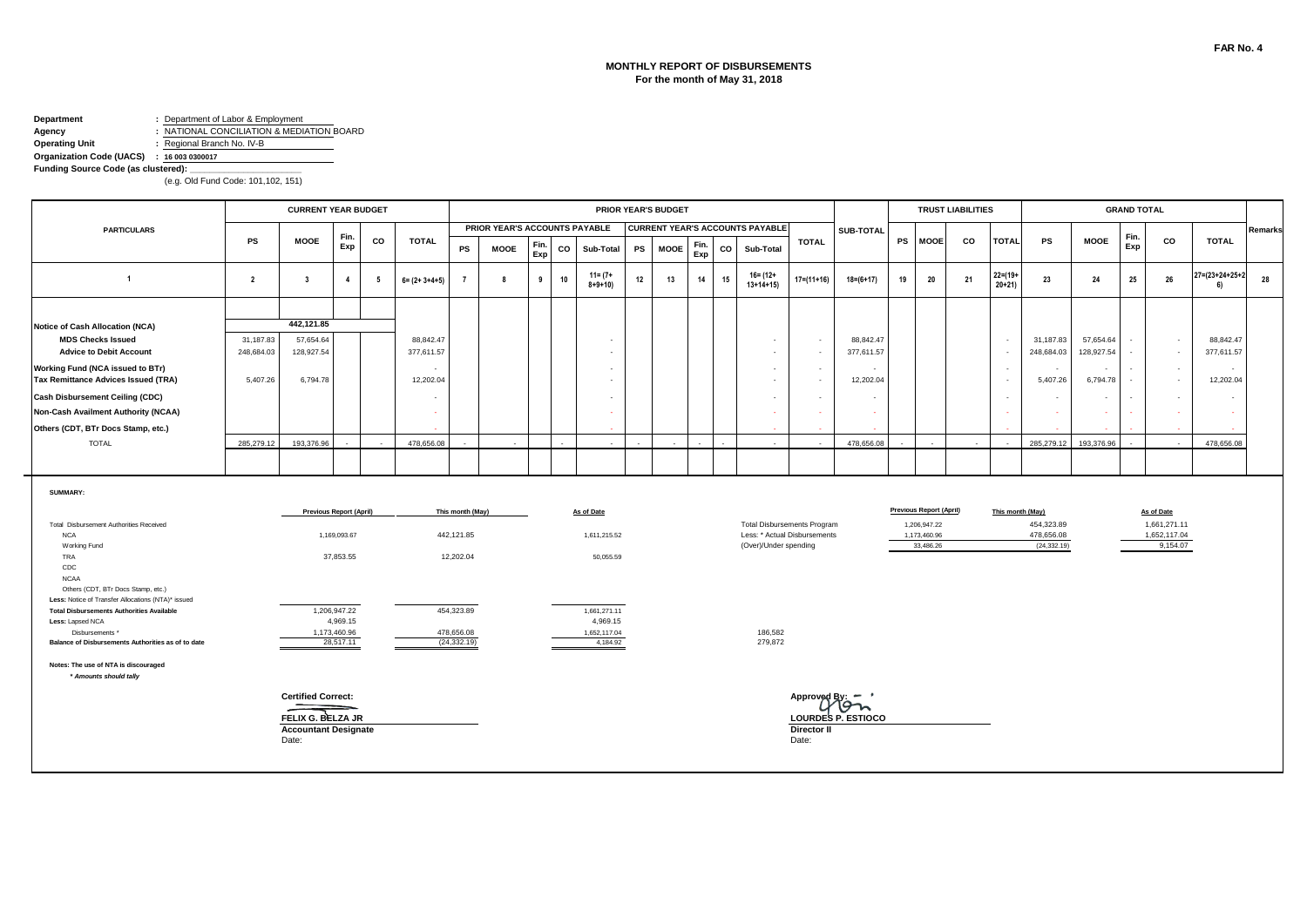#### **MONTHLY REPORT OF DISBURSEMENTS For the month of May 31, 2018**

### **Department :** Department of Labor & Employment

**Agency :** NATIONAL CONCILIATION & MEDIATION BOARD<br> **Operating Unit :** Regional Branch No. IV-B **Operating Unit :** Regional Branch No. IV-B

#### **Organization Code (UACS) : 16 003 0300017**

**Funding Source Code (as clustered):** 

|                                                                                                                                              |                | <b>CURRENT YEAR BUDGET</b>                                                             |                          |                 |                       |                                |                               |             |    |                            |           | <b>PRIOR YEAR'S BUDGET</b> |             |             |                                                                                             |                         |                    |           |                                                                             | <b>TRUST LIABILITIES</b> |                           |                                          |                                      | <b>GRAND TOTAL</b> |                                                        |                                 |         |
|----------------------------------------------------------------------------------------------------------------------------------------------|----------------|----------------------------------------------------------------------------------------|--------------------------|-----------------|-----------------------|--------------------------------|-------------------------------|-------------|----|----------------------------|-----------|----------------------------|-------------|-------------|---------------------------------------------------------------------------------------------|-------------------------|--------------------|-----------|-----------------------------------------------------------------------------|--------------------------|---------------------------|------------------------------------------|--------------------------------------|--------------------|--------------------------------------------------------|---------------------------------|---------|
| <b>PARTICULARS</b>                                                                                                                           |                |                                                                                        |                          |                 |                       |                                | PRIOR YEAR'S ACCOUNTS PAYABLE |             |    |                            |           |                            |             |             | <b>CURRENT YEAR'S ACCOUNTS PAYABLE</b>                                                      |                         | SUB-TOTAL          |           |                                                                             |                          |                           |                                          |                                      | Fin.               |                                                        |                                 | Remarks |
|                                                                                                                                              | <b>PS</b>      | <b>MOOE</b>                                                                            | Fin.<br>Exp              | CO              | <b>TOTAL</b>          | ${\sf PS}$                     | <b>MOOE</b>                   | Fin.<br>Exp | CO | Sub-Total                  | <b>PS</b> | <b>MOOE</b>                | Fin.<br>Exp | $_{\rm co}$ | Sub-Total                                                                                   | <b>TOTAL</b>            |                    | <b>PS</b> | <b>MOOE</b>                                                                 | CO                       | <b>TOTAL</b>              | <b>PS</b>                                | <b>MOOE</b>                          | Exp                | CO                                                     | <b>TOTAL</b>                    |         |
| $\overline{1}$                                                                                                                               | $\overline{2}$ | $\overline{\mathbf{3}}$                                                                | $\overline{4}$           | $5\overline{5}$ | $6 = (2 + 3 + 4 + 5)$ | $\overline{7}$                 | -8                            | 9           | 10 | $11 = (7 +$<br>$8+9+10)$   | 12        | 13                         | 14          | 15          | 16= (12+<br>$13+14+15$                                                                      | $17 = (11 + 16)$        | $18 = (6 + 17)$    | 19        | 20                                                                          | 21                       | $22 = (19 +$<br>$20 + 21$ | 23                                       | 24                                   | 25                 | 26                                                     | $27 = (23 + 24 + 25 + 2)$<br>6) | 28      |
|                                                                                                                                              |                |                                                                                        |                          |                 |                       |                                |                               |             |    |                            |           |                            |             |             |                                                                                             |                         |                    |           |                                                                             |                          |                           |                                          |                                      |                    |                                                        |                                 |         |
| <b>Notice of Cash Allocation (NCA)</b>                                                                                                       |                | 442,121.85                                                                             |                          |                 |                       |                                |                               |             |    |                            |           |                            |             |             |                                                                                             |                         |                    |           |                                                                             |                          |                           |                                          |                                      |                    |                                                        |                                 |         |
| <b>MDS Checks Issued</b>                                                                                                                     | 31,187.83      | 57.654.64                                                                              |                          |                 | 88,842.47             |                                |                               |             |    |                            |           |                            |             |             | $\sim$                                                                                      | $\blacksquare$          | 88.842.47          |           |                                                                             |                          | ÷,                        | 31,187.83                                | 57,654.64                            |                    | $\sim$                                                 | 88.842.47                       |         |
| <b>Advice to Debit Account</b>                                                                                                               | 248,684.03     | 128,927.54                                                                             |                          |                 | 377,611.57            |                                |                               |             |    |                            |           |                            |             |             | $\sim$                                                                                      | $\sim$                  | 377,611.57         |           |                                                                             |                          | $\sim$                    | 248,684.03                               | 128,927.54                           |                    | $\sim$                                                 | 377,611.57                      |         |
| Working Fund (NCA issued to BTr)<br>Tax Remittance Advices Issued (TRA)                                                                      | 5,407.26       | 6,794.78                                                                               |                          |                 | 12,202.04             |                                |                               |             |    |                            |           |                            |             |             | $\sim$<br>$\sim$                                                                            | $\sim$<br>$\sim$        | 12,202.04          |           |                                                                             |                          | $\sim$<br>÷.              | $\sim$<br>5,407.26                       | $\overline{\phantom{a}}$<br>6,794.78 |                    | $\sim$<br>$\sim$                                       | $\sim$<br>12,202.04             |         |
| <b>Cash Disbursement Ceiling (CDC)</b>                                                                                                       |                |                                                                                        |                          |                 |                       |                                |                               |             |    |                            |           |                            |             |             |                                                                                             | $\sim$                  |                    |           |                                                                             |                          | $\sim$                    | $\overline{\phantom{a}}$                 | $\sim$                               |                    |                                                        | $\overline{\phantom{a}}$        |         |
| <b>Non-Cash Availment Authority (NCAA)</b>                                                                                                   |                |                                                                                        |                          |                 | $\sim$                |                                |                               |             |    |                            |           |                            |             |             | $\sim$                                                                                      | $\sim$                  |                    |           |                                                                             |                          | - 2                       | $\sim$                                   | $\sim$                               |                    | <b>Simple</b>                                          |                                 |         |
| Others (CDT, BTr Docs Stamp, etc.)                                                                                                           |                |                                                                                        |                          |                 |                       |                                |                               |             |    |                            |           |                            |             |             |                                                                                             |                         |                    |           |                                                                             |                          |                           |                                          |                                      |                    |                                                        |                                 |         |
| <b>TOTAL</b>                                                                                                                                 | 285,279.12     | 193,376.96                                                                             |                          |                 | 478,656.08            |                                |                               |             |    |                            |           |                            |             |             |                                                                                             |                         | 478,656.08         |           |                                                                             |                          |                           | 285,279.12                               | 193,376.96                           |                    |                                                        | 478,656.08                      |         |
|                                                                                                                                              |                |                                                                                        |                          |                 |                       |                                |                               |             |    |                            |           |                            |             |             |                                                                                             |                         |                    |           |                                                                             |                          |                           |                                          |                                      |                    |                                                        |                                 |         |
| SUMMARY:<br>Total Disbursement Authorities Received<br><b>NCA</b><br>Working Fund                                                            |                | <b>Previous Report (April)</b>                                                         | 1,169,093.67             |                 |                       | This month (May)<br>442,121.85 |                               |             |    | As of Date<br>1,611,215.52 |           |                            |             |             | <b>Total Disbursements Program</b><br>Less: * Actual Disbursements<br>(Over)/Under spending |                         |                    |           | <b>Previous Report (April)</b><br>1,206,947.22<br>1,173,460.96<br>33,486.26 |                          | This month (May)          | 454,323.89<br>478,656.08<br>(24, 332.19) |                                      |                    | As of Date<br>1,661,271.11<br>1,652,117.04<br>9,154.07 |                                 |         |
| TRA<br>CDC<br><b>NCAA</b>                                                                                                                    |                |                                                                                        | 37,853.55                |                 |                       | 12,202.04                      |                               |             |    | 50,055.59                  |           |                            |             |             |                                                                                             |                         |                    |           |                                                                             |                          |                           |                                          |                                      |                    |                                                        |                                 |         |
| Others (CDT, BTr Docs Stamp, etc.)<br>Less: Notice of Transfer Allocations (NTA)* issued<br><b>Total Disbursements Authorities Available</b> |                |                                                                                        | 1,206,947.22             |                 |                       | 454,323.89                     |                               |             |    | 1,661,271.11               |           |                            |             |             |                                                                                             |                         |                    |           |                                                                             |                          |                           |                                          |                                      |                    |                                                        |                                 |         |
| Less: Lapsed NCA<br>Disbursements *                                                                                                          |                |                                                                                        | 4,969.15<br>1,173,460.96 |                 |                       | 478,656.08                     |                               |             |    | 4,969.15<br>1,652,117.04   |           |                            |             |             | 186,582                                                                                     |                         |                    |           |                                                                             |                          |                           |                                          |                                      |                    |                                                        |                                 |         |
| Balance of Disbursements Authorities as of to date                                                                                           |                |                                                                                        | 28,517.11                |                 |                       | (24, 332.19)                   |                               |             |    | 4,184.92                   |           |                            |             |             | 279,872                                                                                     |                         |                    |           |                                                                             |                          |                           |                                          |                                      |                    |                                                        |                                 |         |
| Notes: The use of NTA is discouraged<br>* Amounts should tally                                                                               |                |                                                                                        |                          |                 |                       |                                |                               |             |    |                            |           |                            |             |             |                                                                                             |                         |                    |           |                                                                             |                          |                           |                                          |                                      |                    |                                                        |                                 |         |
|                                                                                                                                              |                | <b>Certified Correct:</b><br>FELIX G. BELZA JR<br><b>Accountant Designate</b><br>Date: |                          |                 |                       |                                |                               |             |    |                            |           |                            |             |             |                                                                                             | Approver<br>Director II | LOURDES P. ESTIOCO |           |                                                                             |                          |                           |                                          |                                      |                    |                                                        |                                 |         |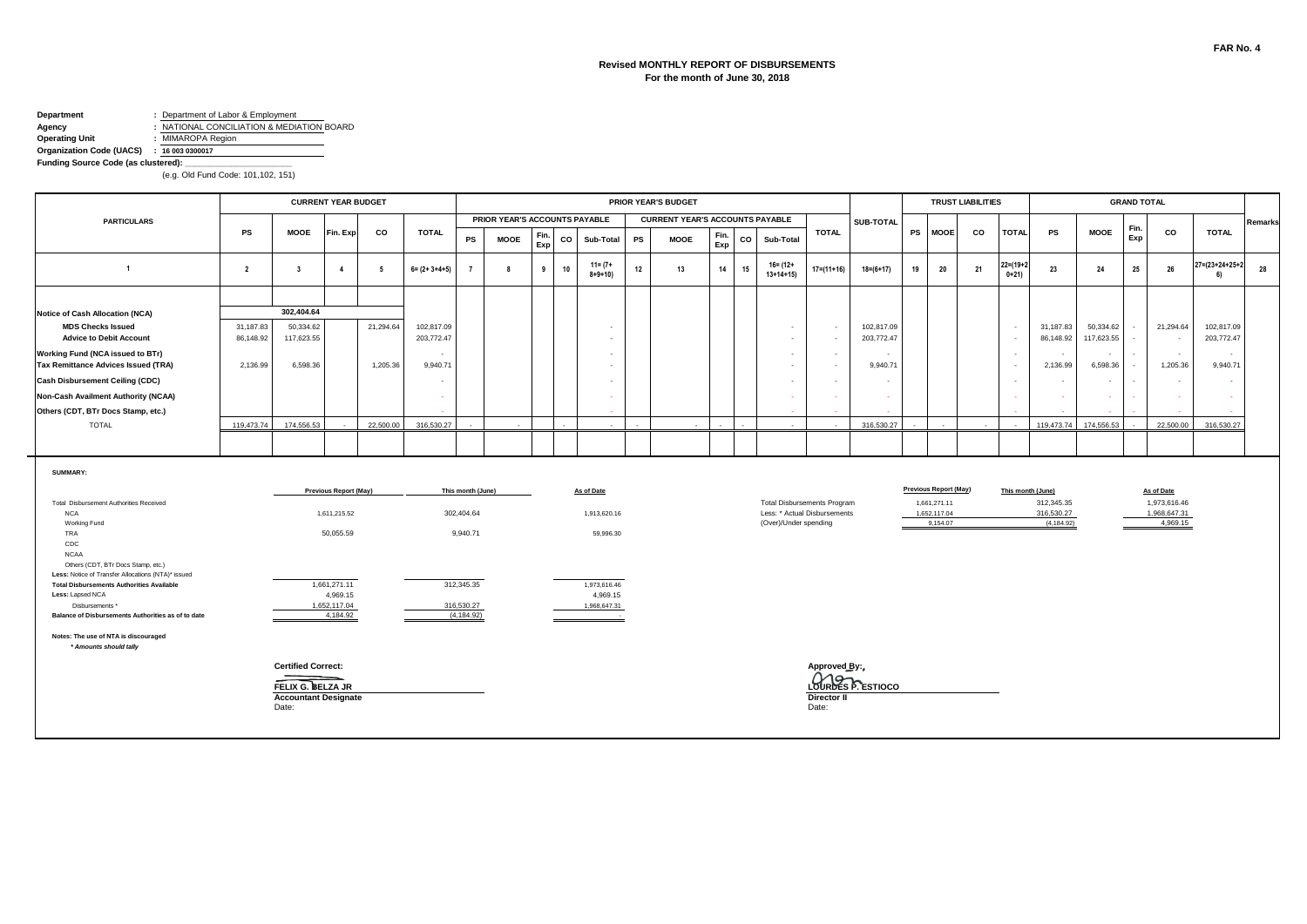#### **Revised MONTHLY REPORT OF DISBURSEMENTS For the month of June 30, 2018**

# **Department :** Department of Labor & Employment<br>**Agency :** NATIONAL CONCILIATION & MEDIA

**Agency :** NATIONAL CONCILIATION & MEDIATION BOARD<br> **Operating Unit :** MIMAROPA Region **Operating Unit :** MIMAROPA Region

**Organization Code (UACS) : 16 003 0300017**

**Funding Source Code (as clustered): \_\_\_\_\_\_\_\_\_\_\_\_\_\_\_\_\_\_\_\_\_\_\_**

|                                                                                                                                                                                               |                |                                                                                        | <b>CURRENT YEAR BUDGET</b>                   |                 |                          |                                 |                               |             |             |                                       |    | PRIOR YEAR'S BUDGET                    |             |    |                        |                                                                    |                         |    |                                                                          | <b>TRUST LIABILITIES</b> |                            |                                                              |             | <b>GRAND TOTAL</b> |                                                        |                                 |         |
|-----------------------------------------------------------------------------------------------------------------------------------------------------------------------------------------------|----------------|----------------------------------------------------------------------------------------|----------------------------------------------|-----------------|--------------------------|---------------------------------|-------------------------------|-------------|-------------|---------------------------------------|----|----------------------------------------|-------------|----|------------------------|--------------------------------------------------------------------|-------------------------|----|--------------------------------------------------------------------------|--------------------------|----------------------------|--------------------------------------------------------------|-------------|--------------------|--------------------------------------------------------|---------------------------------|---------|
| <b>PARTICULARS</b>                                                                                                                                                                            |                |                                                                                        |                                              |                 |                          |                                 | PRIOR YEAR'S ACCOUNTS PAYABLE |             |             |                                       |    | <b>CURRENT YEAR'S ACCOUNTS PAYABLE</b> |             |    |                        |                                                                    | SUB-TOTAL               |    |                                                                          |                          |                            |                                                              |             | Fin.               |                                                        |                                 | Remarks |
|                                                                                                                                                                                               | <b>PS</b>      | <b>MOOE</b>                                                                            | Fin. Exp                                     | CO              | <b>TOTAL</b>             | PS                              | <b>MOOE</b>                   | Fin.<br>Exp | $_{\rm co}$ | Sub-Total                             | PS | <b>MOOE</b>                            | Fin.<br>Exp | CO | Sub-Total              | <b>TOTAL</b>                                                       |                         |    | PS MOOE                                                                  | CO                       | <b>TOTAL</b>               | PS                                                           | <b>MOOE</b> | Exp                | co                                                     | <b>TOTAL</b>                    |         |
| $\overline{1}$                                                                                                                                                                                | $\overline{2}$ | $\overline{\mathbf{3}}$                                                                | $\overline{4}$                               | $5\overline{5}$ | $6 = (2 + 3 + 4 + 5)$    |                                 | 8                             | 9           | 10          | $11 = (7 +$<br>$8 + 9 + 10$           | 12 | 13                                     | 14          | 15 | 16= (12+<br>$13+14+15$ | $17 = (11 + 16)$                                                   | $18=(6+17)$             | 19 | 20                                                                       | 21                       | $22 = (19 + 2)$<br>$0+21)$ | 23                                                           | 24          | $25\,$             | 26                                                     | $27 = (23 + 24 + 25 + 2)$<br>61 | 28      |
|                                                                                                                                                                                               |                |                                                                                        |                                              |                 |                          |                                 |                               |             |             |                                       |    |                                        |             |    |                        |                                                                    |                         |    |                                                                          |                          |                            |                                                              |             |                    |                                                        |                                 |         |
| <b>Notice of Cash Allocation (NCA)</b>                                                                                                                                                        |                | 302,404.64                                                                             |                                              |                 |                          |                                 |                               |             |             |                                       |    |                                        |             |    |                        |                                                                    |                         |    |                                                                          |                          |                            |                                                              |             |                    |                                                        |                                 |         |
| <b>MDS Checks Issued</b>                                                                                                                                                                      | 31,187.83      | 50,334.62                                                                              |                                              | 21,294.64       | 102,817.09               |                                 |                               |             |             |                                       |    |                                        |             |    | $\sim$                 | $\sim$                                                             | 102,817.09              |    |                                                                          |                          | $\sim$                     | 31,187.83                                                    | 50,334.62   |                    | 21,294.64                                              | 102,817.09                      |         |
| <b>Advice to Debit Account</b>                                                                                                                                                                | 86,148.92      | 117,623.55                                                                             |                                              |                 | 203,772.47               |                                 |                               |             |             | $\sim$                                |    |                                        |             |    | $\sim$                 | $\sim$                                                             | 203,772.47              |    |                                                                          |                          | $\overline{\phantom{a}}$   | 86,148.92                                                    | 117,623.55  | $\sim$             | $\sim$                                                 | 203,772.47                      |         |
| Working Fund (NCA issued to BTr)                                                                                                                                                              |                |                                                                                        |                                              |                 | $\sim$                   |                                 |                               |             |             |                                       |    |                                        |             |    | $\sim$                 | $\sim$                                                             |                         |    |                                                                          |                          | $\sim$                     | $\sim$                                                       |             | $\sim$             | $\sim$                                                 | $\sim$                          |         |
| <b>Tax Remittance Advices Issued (TRA)</b>                                                                                                                                                    | 2,136.99       | 6,598.36                                                                               |                                              | 1,205.36        | 9,940.71                 |                                 |                               |             |             |                                       |    |                                        |             |    | $\sim$                 | $\sim$                                                             | 9,940.7'                |    |                                                                          |                          | $\sim$                     | 2,136.99                                                     | 6,598.36    | $\sim$             | 1,205.36                                               | 9,940.71                        |         |
| <b>Cash Disbursement Ceiling (CDC)</b>                                                                                                                                                        |                |                                                                                        |                                              |                 | $\overline{\phantom{a}}$ |                                 |                               |             |             |                                       |    |                                        |             |    | $\sim$                 | $\sim$                                                             |                         |    |                                                                          |                          | $\sim$                     | $\sim$                                                       |             | $\sim$             | $\sim$                                                 | $\sim$                          |         |
| Non-Cash Availment Authority (NCAA)                                                                                                                                                           |                |                                                                                        |                                              |                 | - 2                      |                                 |                               |             |             |                                       |    |                                        |             |    | ÷.                     | $\sim$                                                             |                         |    |                                                                          |                          | ÷.                         |                                                              |             |                    |                                                        |                                 |         |
| Others (CDT, BTr Docs Stamp, etc.)                                                                                                                                                            |                |                                                                                        |                                              |                 |                          |                                 |                               |             |             |                                       |    |                                        |             |    |                        |                                                                    |                         |    |                                                                          |                          |                            |                                                              |             |                    |                                                        |                                 |         |
| <b>TOTAL</b>                                                                                                                                                                                  | 119.473.74     | 174,556.53                                                                             |                                              | 22,500.00       | 316,530.27               |                                 |                               |             |             |                                       |    |                                        |             |    |                        |                                                                    | 316,530.27              |    |                                                                          |                          |                            | 119,473,74                                                   | 174.556.53  |                    | 22,500.00                                              | 316.530.27                      |         |
|                                                                                                                                                                                               |                |                                                                                        |                                              |                 |                          |                                 |                               |             |             |                                       |    |                                        |             |    |                        |                                                                    |                         |    |                                                                          |                          |                            |                                                              |             |                    |                                                        |                                 |         |
| SUMMARY:<br>Total Disbursement Authorities Received<br><b>NCA</b><br>Working Fund                                                                                                             |                |                                                                                        | <b>Previous Report (May)</b><br>1,611,215.52 |                 |                          | This month (June)<br>302,404.64 |                               |             |             | As of Date<br>1,913,620.16            |    |                                        |             |    | (Over)/Under spending  | <b>Total Disbursements Program</b><br>Less: * Actual Disbursements |                         |    | <b>Previous Report (May)</b><br>1,661,271.11<br>1,652,117.04<br>9,154.07 |                          |                            | This month (June)<br>312.345.35<br>316,530.27<br>(4, 184.92) |             |                    | As of Date<br>1,973,616.46<br>1,968,647.31<br>4,969.15 |                                 |         |
| TRA<br>CDC<br><b>NCAA</b><br>Others (CDT, BTr Docs Stamp, etc.)<br>Less: Notice of Transfer Allocations (NTA)* issued<br><b>Total Disbursements Authorities Available</b><br>Less: Lapsed NCA |                |                                                                                        | 50,055.59<br>1,661,271.11<br>4,969.15        |                 |                          | 9,940.71<br>312,345.35          |                               |             |             | 59,996.30<br>1,973,616.46<br>4,969.15 |    |                                        |             |    |                        |                                                                    |                         |    |                                                                          |                          |                            |                                                              |             |                    |                                                        |                                 |         |
| Disbursements *                                                                                                                                                                               |                |                                                                                        | 1,652,117.04                                 |                 |                          | 316,530.27                      |                               |             |             | 1,968,647.31                          |    |                                        |             |    |                        |                                                                    |                         |    |                                                                          |                          |                            |                                                              |             |                    |                                                        |                                 |         |
| Balance of Disbursements Authorities as of to date<br>Notes: The use of NTA is discouraged<br>* Amounts should tally                                                                          |                |                                                                                        | 4.184.92                                     |                 |                          | (4, 184.92)                     |                               |             |             |                                       |    |                                        |             |    |                        |                                                                    |                         |    |                                                                          |                          |                            |                                                              |             |                    |                                                        |                                 |         |
|                                                                                                                                                                                               |                | <b>Certified Correct:</b><br>FELIX G. BELZA JR<br><b>Accountant Designate</b><br>Date: |                                              |                 |                          |                                 |                               |             |             |                                       |    |                                        |             |    |                        | Approved_By:<br><b>Director II</b><br>Date:                        | <b>OURDES P</b> ESTIOCO |    |                                                                          |                          |                            |                                                              |             |                    |                                                        |                                 |         |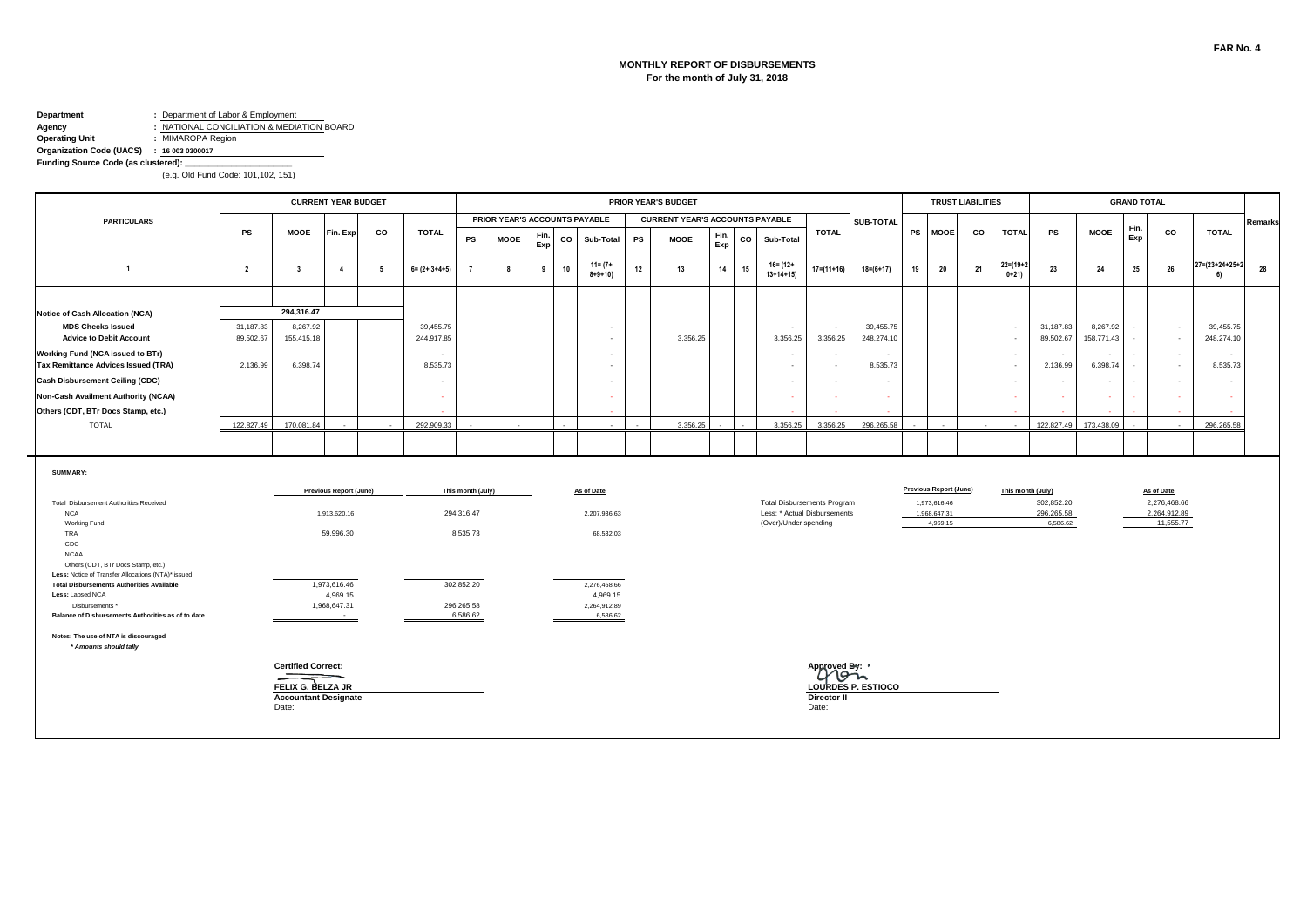#### **MONTHLY REPORT OF DISBURSEMENTS For the month of July 31, 2018**

# **Department :** Department of Labor & Employment<br>**Agency :** NATIONAL CONCILIATION & MEDIA **Agency :** NATIONAL CONCILIATION & MEDIATION BOARD<br> **Operating Unit :** MIMAROPA Region

**Operating Unit :** MIMAROPA Region

**Organization Code (UACS) : 16 003 0300017**

**Funding Source Code (as clustered): \_\_\_\_\_\_\_\_\_\_\_\_\_\_\_\_\_\_\_\_\_\_\_**

|                                                                                          |                |                             | <b>CURRENT YEAR BUDGET</b> |    |                       |                   |                               |             |             |                             |                          |           | PRIOR YEAR'S BUDGET                    |             |             |                                                                    |                    |                    |           |                               | <b>TRUST LIABILITIES</b> |                           |                          |             | <b>GRAND TOTAL</b> |                              |                      |         |
|------------------------------------------------------------------------------------------|----------------|-----------------------------|----------------------------|----|-----------------------|-------------------|-------------------------------|-------------|-------------|-----------------------------|--------------------------|-----------|----------------------------------------|-------------|-------------|--------------------------------------------------------------------|--------------------|--------------------|-----------|-------------------------------|--------------------------|---------------------------|--------------------------|-------------|--------------------|------------------------------|----------------------|---------|
| <b>PARTICULARS</b>                                                                       |                |                             |                            |    |                       |                   | PRIOR YEAR'S ACCOUNTS PAYABLE |             |             |                             |                          |           | <b>CURRENT YEAR'S ACCOUNTS PAYABLE</b> |             |             |                                                                    |                    | SUB-TOTAL          |           |                               |                          |                           |                          |             | Fin.               |                              |                      | Remarks |
|                                                                                          | <b>PS</b>      | <b>MOOE</b>                 | Fin. Exp                   | co | <b>TOTAL</b>          | PS                | <b>MOOE</b>                   | Fin.<br>Exp | $_{\rm co}$ |                             | Sub-Total                | <b>PS</b> | <b>MOOE</b>                            | Fin.<br>Exp | $_{\rm co}$ | Sub-Total                                                          | <b>TOTAL</b>       |                    | <b>PS</b> | <b>MOOE</b>                   | co                       | <b>TOTAL</b>              | <b>PS</b>                | <b>MOOE</b> | Exp                | co                           | <b>TOTAL</b>         |         |
| $\overline{1}$                                                                           | $\overline{2}$ | $\overline{\mathbf{3}}$     | $\boldsymbol{\Lambda}$     | 5  | $6 = (2 + 3 + 4 + 5)$ |                   | 8                             | 9           | 10          | $11 = (7 +$<br>$8 + 9 + 10$ |                          | 12        | 13                                     | 14          | 15          | $16 = (12 +$<br>$13+14+15$                                         | $17 = (11 + 16)$   | $18 = (6 + 17)$    | 19        | 20                            | 21                       | $22 = (19 + 2)$<br>$0+21$ | 23                       | 24          | 25                 | 26                           | 27=(23+24+25+2<br>61 | 28      |
|                                                                                          |                |                             |                            |    |                       |                   |                               |             |             |                             |                          |           |                                        |             |             |                                                                    |                    |                    |           |                               |                          |                           |                          |             |                    |                              |                      |         |
| <b>Notice of Cash Allocation (NCA)</b>                                                   |                | 294.316.47                  |                            |    |                       |                   |                               |             |             |                             |                          |           |                                        |             |             |                                                                    |                    |                    |           |                               |                          |                           |                          |             |                    |                              |                      |         |
| <b>MDS Checks Issued</b>                                                                 | 31,187.83      | 8,267.92                    |                            |    | 39,455.75             |                   |                               |             |             |                             |                          |           |                                        |             |             | $\sim$                                                             | $\sim$             | 39,455.75          |           |                               |                          | $\sim$                    | 31,187.83                | 8,267.92    |                    | $\sim$                       | 39,455.75            |         |
| <b>Advice to Debit Account</b>                                                           | 89,502.67      | 155,415.18                  |                            |    | 244,917.85            |                   |                               |             |             |                             |                          |           | 3,356.25                               |             |             | 3,356.25                                                           | 3,356.25           | 248,274.10         |           |                               |                          | $\sim$                    | 89,502.67                | 158,771.43  | $\sim$             | $\sim$                       | 248,274.10           |         |
| Working Fund (NCA issued to BTr)                                                         |                |                             |                            |    |                       |                   |                               |             |             |                             | $\sim$                   |           |                                        |             |             | $\sim$                                                             | $\sim$             |                    |           |                               |                          | $\sim$                    | . .                      |             | $\sim$             | $\sim$                       | $\sim$               |         |
| <b>Tax Remittance Advices Issued (TRA)</b>                                               | 2,136.99       | 6,398.74                    |                            |    | 8,535.73              |                   |                               |             |             |                             |                          |           |                                        |             |             | $\sim$                                                             | $\sim$             | 8,535.73           |           |                               |                          | $\sim$                    | 2,136.99                 | 6,398.74    | $\sim$             | $\sim$                       | 8,535.73             |         |
| <b>Cash Disbursement Ceiling (CDC)</b>                                                   |                |                             |                            |    |                       |                   |                               |             |             |                             |                          |           |                                        |             |             | $\sim$                                                             | $\sim$             | $\sim$             |           |                               |                          | $\sim$                    |                          |             | $\sim$             | $\sim$                       | $\sim$               |         |
| Non-Cash Availment Authority (NCAA)                                                      |                |                             |                            |    |                       |                   |                               |             |             |                             |                          |           |                                        |             |             | $\sim$                                                             | - 1                | -                  |           |                               |                          |                           |                          |             |                    | $\sim$                       |                      |         |
| Others (CDT, BTr Docs Stamp, etc.)                                                       |                |                             |                            |    |                       |                   |                               |             |             |                             |                          |           |                                        |             |             |                                                                    |                    |                    |           |                               |                          |                           |                          |             |                    |                              |                      |         |
| <b>TOTAL</b>                                                                             | 122,827.49     | 170,081.84                  |                            |    | 292,909.33            |                   |                               |             |             |                             |                          |           | 3,356.25                               |             |             | 3,356.25                                                           | 3.356.25           | 296,265.58         |           |                               |                          |                           | 122,827.49               | 173,438.09  |                    |                              | 296,265.58           |         |
|                                                                                          |                |                             |                            |    |                       |                   |                               |             |             |                             |                          |           |                                        |             |             |                                                                    |                    |                    |           |                               |                          |                           |                          |             |                    |                              |                      |         |
| SUMMARY:                                                                                 |                |                             |                            |    |                       |                   |                               |             |             |                             |                          |           |                                        |             |             |                                                                    |                    |                    |           |                               |                          |                           |                          |             |                    |                              |                      |         |
|                                                                                          |                |                             | Previous Report (June)     |    |                       | This month (July) |                               |             |             | As of Date                  |                          |           |                                        |             |             |                                                                    |                    |                    |           | <b>Previous Report (June)</b> |                          |                           | This month (July)        |             |                    | As of Date                   |                      |         |
| Total Disbursement Authorities Received<br><b>NCA</b>                                    |                |                             | 1,913,620.16               |    |                       | 294,316.47        |                               |             |             |                             | 2,207,936.63             |           |                                        |             |             | <b>Total Disbursements Program</b><br>Less: * Actual Disbursements |                    |                    |           | 1,973,616.46<br>1,968,647.31  |                          |                           | 302,852.20<br>296,265.58 |             |                    | 2,276,468.66<br>2,264,912.89 |                      |         |
| Working Fund                                                                             |                |                             |                            |    |                       |                   |                               |             |             |                             |                          |           |                                        |             |             | (Over)/Under spending                                              |                    |                    |           | 4,969.15                      |                          |                           | 6,586.62                 |             |                    | 11,555.77                    |                      |         |
| TRA                                                                                      |                |                             | 59,996.30                  |    |                       | 8,535.73          |                               |             |             |                             | 68,532.03                |           |                                        |             |             |                                                                    |                    |                    |           |                               |                          |                           |                          |             |                    |                              |                      |         |
| CDC<br><b>NCAA</b>                                                                       |                |                             |                            |    |                       |                   |                               |             |             |                             |                          |           |                                        |             |             |                                                                    |                    |                    |           |                               |                          |                           |                          |             |                    |                              |                      |         |
| Others (CDT, BTr Docs Stamp, etc.)<br>Less: Notice of Transfer Allocations (NTA)* issued |                |                             |                            |    |                       |                   |                               |             |             |                             |                          |           |                                        |             |             |                                                                    |                    |                    |           |                               |                          |                           |                          |             |                    |                              |                      |         |
| <b>Total Disbursements Authorities Available</b>                                         |                |                             | 1,973,616.46               |    |                       | 302,852.20        |                               |             |             |                             | 2,276,468.66             |           |                                        |             |             |                                                                    |                    |                    |           |                               |                          |                           |                          |             |                    |                              |                      |         |
| Less: Lapsed NCA<br>Disbursements *                                                      |                |                             | 4,969.15<br>1,968,647.31   |    |                       | 296,265.58        |                               |             |             |                             | 4,969.15<br>2,264,912.89 |           |                                        |             |             |                                                                    |                    |                    |           |                               |                          |                           |                          |             |                    |                              |                      |         |
| Balance of Disbursements Authorities as of to date                                       |                |                             | $\sim 100$                 |    |                       | 6,586.62          |                               |             |             |                             | 6,586.62                 |           |                                        |             |             |                                                                    |                    |                    |           |                               |                          |                           |                          |             |                    |                              |                      |         |
| Notes: The use of NTA is discouraged                                                     |                |                             |                            |    |                       |                   |                               |             |             |                             |                          |           |                                        |             |             |                                                                    |                    |                    |           |                               |                          |                           |                          |             |                    |                              |                      |         |
| * Amounts should tally                                                                   |                |                             |                            |    |                       |                   |                               |             |             |                             |                          |           |                                        |             |             |                                                                    |                    |                    |           |                               |                          |                           |                          |             |                    |                              |                      |         |
|                                                                                          |                | <b>Certified Correct:</b>   |                            |    |                       |                   |                               |             |             |                             |                          |           |                                        |             |             |                                                                    | Approved By:       |                    |           |                               |                          |                           |                          |             |                    |                              |                      |         |
|                                                                                          |                | FELIX G. BELZA JR           |                            |    |                       |                   |                               |             |             |                             |                          |           |                                        |             |             |                                                                    |                    | LOURDES P. ESTIOCO |           |                               |                          |                           |                          |             |                    |                              |                      |         |
|                                                                                          |                | <b>Accountant Designate</b> |                            |    |                       |                   |                               |             |             |                             |                          |           |                                        |             |             |                                                                    | <b>Director II</b> |                    |           |                               |                          |                           |                          |             |                    |                              |                      |         |
|                                                                                          |                | Date:                       |                            |    |                       |                   |                               |             |             |                             |                          |           |                                        |             |             |                                                                    | Date:              |                    |           |                               |                          |                           |                          |             |                    |                              |                      |         |
|                                                                                          |                |                             |                            |    |                       |                   |                               |             |             |                             |                          |           |                                        |             |             |                                                                    |                    |                    |           |                               |                          |                           |                          |             |                    |                              |                      |         |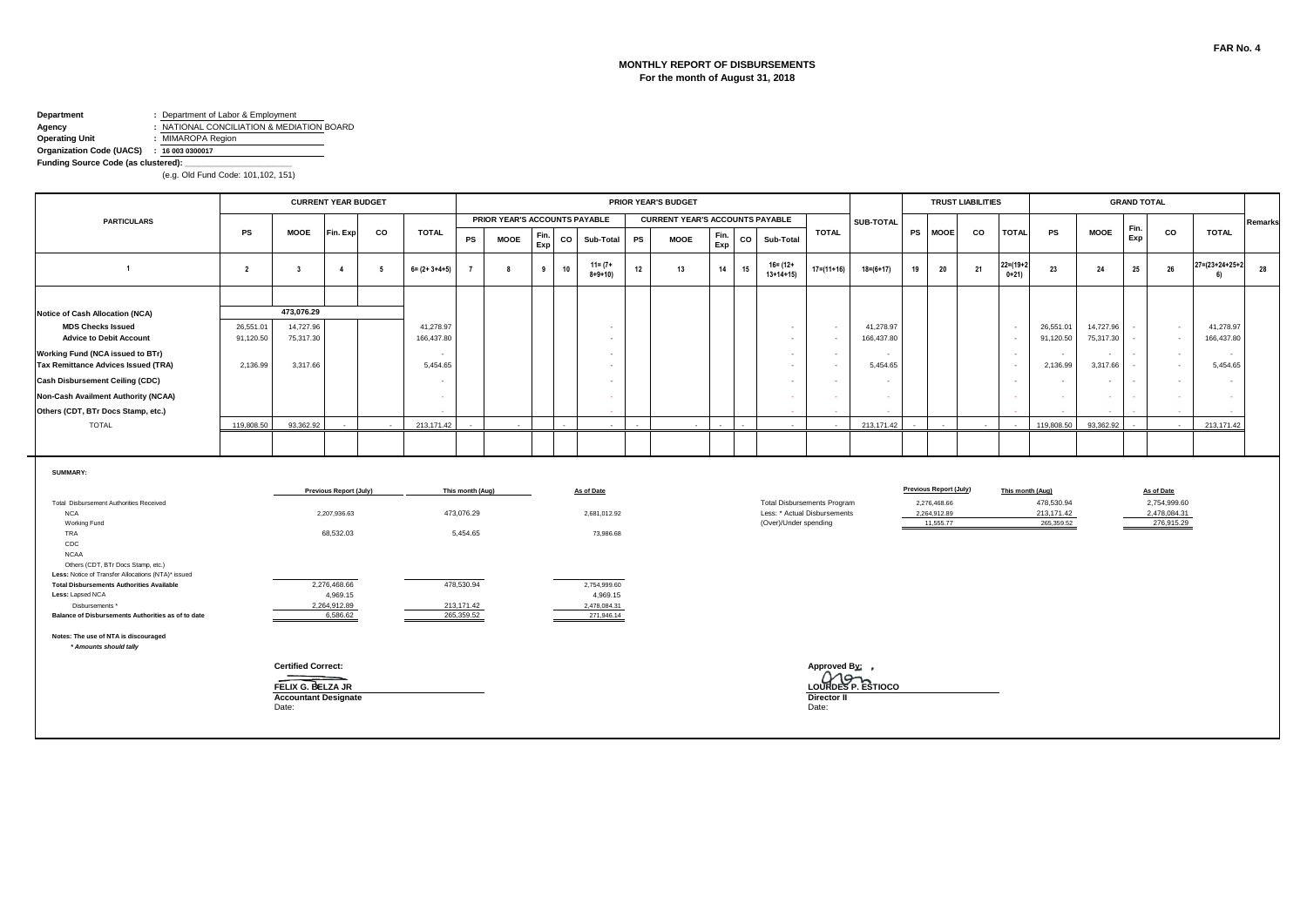#### **MONTHLY REPORT OF DISBURSEMENTS For the month of August 31, 2018**

# **Department :** Department of Labor & Employment<br>**Agency :** NATIONAL CONCILIATION & MEDIA **Agency :** NATIONAL CONCILIATION & MEDIATION BOARD<br> **Operating Unit :** MIMAROPA Region

**Operating Unit :** MIMAROPA Region

**Organization Code (UACS) : 16 003 0300017 Funding Source Code (as clustered): \_\_\_\_\_\_\_\_\_\_\_\_\_\_\_\_\_\_\_\_\_\_\_**

|                                                                                                                                                                                                                                                                                    |                |                                                                                        | <b>CURRENT YEAR BUDGET</b>                                                             |    |                       |                                                          |                               |             |             |                                                                     | PRIOR YEAR'S BUDGET                    |             |    |                                                                                             |                                               |                          |    |                                                                            | <b>TRUST LIABILITIES</b> |                            |                                        |             | <b>GRAND TOTAL</b> |                                                          |                      |         |
|------------------------------------------------------------------------------------------------------------------------------------------------------------------------------------------------------------------------------------------------------------------------------------|----------------|----------------------------------------------------------------------------------------|----------------------------------------------------------------------------------------|----|-----------------------|----------------------------------------------------------|-------------------------------|-------------|-------------|---------------------------------------------------------------------|----------------------------------------|-------------|----|---------------------------------------------------------------------------------------------|-----------------------------------------------|--------------------------|----|----------------------------------------------------------------------------|--------------------------|----------------------------|----------------------------------------|-------------|--------------------|----------------------------------------------------------|----------------------|---------|
| <b>PARTICULARS</b>                                                                                                                                                                                                                                                                 |                |                                                                                        |                                                                                        |    |                       |                                                          | PRIOR YEAR'S ACCOUNTS PAYABLE |             |             |                                                                     | <b>CURRENT YEAR'S ACCOUNTS PAYABLE</b> |             |    |                                                                                             |                                               | SUB-TOTAL                |    |                                                                            |                          |                            |                                        |             |                    |                                                          |                      | Remarks |
|                                                                                                                                                                                                                                                                                    | PS             | <b>MOOE</b>                                                                            | Fin. Exp                                                                               | CO | <b>TOTAL</b>          | PS                                                       | <b>MOOE</b>                   | Fin.<br>Exp | $_{\rm co}$ | Sub-Total                                                           | PS<br><b>MOOE</b>                      | Fin.<br>Exp | co | Sub-Total                                                                                   | <b>TOTAL</b>                                  |                          |    | PS MOOE                                                                    | co                       | <b>TOTAL</b>               | PS                                     | <b>MOOE</b> | Fin.<br>Exp        | co                                                       | <b>TOTAL</b>         |         |
| $\overline{1}$                                                                                                                                                                                                                                                                     | $\overline{2}$ | $\overline{\mathbf{3}}$                                                                | $\overline{4}$                                                                         | 5  | $6 = (2 + 3 + 4 + 5)$ |                                                          | 8                             | 9           | 10          | $11 = (7 +$<br>$8 + 9 + 10$                                         | 12<br>13                               | 14          | 15 | 16= (12+<br>$13+14+15$                                                                      | $17 = (11 + 16)$                              | $18 = (6 + 17)$          | 19 | 20                                                                         | 21                       | $22 = (19 + 2)$<br>$0+21)$ | 23                                     | 24          | 25                 | 26                                                       | 27=(23+24+25+2<br>61 | 28      |
|                                                                                                                                                                                                                                                                                    |                |                                                                                        |                                                                                        |    |                       |                                                          |                               |             |             |                                                                     |                                        |             |    |                                                                                             |                                               |                          |    |                                                                            |                          |                            |                                        |             |                    |                                                          |                      |         |
| <b>Notice of Cash Allocation (NCA)</b>                                                                                                                                                                                                                                             |                | 473.076.29                                                                             |                                                                                        |    |                       |                                                          |                               |             |             |                                                                     |                                        |             |    |                                                                                             |                                               |                          |    |                                                                            |                          |                            |                                        |             |                    |                                                          |                      |         |
| <b>MDS Checks Issued</b>                                                                                                                                                                                                                                                           | 26,551.01      | 14,727.96                                                                              |                                                                                        |    | 41,278.97             |                                                          |                               |             |             |                                                                     |                                        |             |    | $\sim$                                                                                      | $\sim$                                        | 41,278.97                |    |                                                                            |                          | $\sim$                     | 26,551.01                              | 14,727.96   |                    | $\sim$                                                   | 41,278.97            |         |
| <b>Advice to Debit Account</b>                                                                                                                                                                                                                                                     | 91,120.50      | 75,317.30                                                                              |                                                                                        |    | 166,437.80            |                                                          |                               |             |             |                                                                     |                                        |             |    | $\sim$                                                                                      | $\sim$                                        | 166,437.80               |    |                                                                            |                          | $\sim$                     | 91,120.50                              | 75,317.30   | $\sim$             | $\sim$                                                   | 166,437.80           |         |
| Working Fund (NCA issued to BTr)                                                                                                                                                                                                                                                   |                |                                                                                        |                                                                                        |    |                       |                                                          |                               |             |             |                                                                     |                                        |             |    | $\sim$                                                                                      | $\sim$                                        |                          |    |                                                                            |                          | $\sim$                     | $\sim$                                 |             | $\sim$             | $\sim$                                                   | $\sim$               |         |
| <b>Tax Remittance Advices Issued (TRA)</b>                                                                                                                                                                                                                                         | 2,136.99       | 3,317.66                                                                               |                                                                                        |    | 5,454.65              |                                                          |                               |             |             |                                                                     |                                        |             |    | $\sim$                                                                                      | $\sim$                                        | 5,454.65                 |    |                                                                            |                          | $\sim$                     | 2,136.99                               | 3,317.66    | $\sim$             | $\omega$                                                 | 5,454.65             |         |
| <b>Cash Disbursement Ceiling (CDC)</b>                                                                                                                                                                                                                                             |                |                                                                                        |                                                                                        |    | $\sim$                |                                                          |                               |             |             |                                                                     |                                        |             |    | $\sim$                                                                                      | $\sim$                                        |                          |    |                                                                            |                          | $\sim$                     | $\sim$                                 |             | $\sim$             | $\sim$                                                   | $\sim$               |         |
| Non-Cash Availment Authority (NCAA)                                                                                                                                                                                                                                                |                |                                                                                        |                                                                                        |    | - 1                   |                                                          |                               |             |             |                                                                     |                                        |             |    | ٠                                                                                           | ÷                                             | <b><i><u>ALC</u></i></b> |    |                                                                            |                          | $\sim$                     |                                        |             |                    |                                                          |                      |         |
| Others (CDT, BTr Docs Stamp, etc.)                                                                                                                                                                                                                                                 |                |                                                                                        |                                                                                        |    |                       |                                                          |                               |             |             |                                                                     |                                        |             |    |                                                                                             |                                               |                          |    |                                                                            |                          |                            |                                        |             |                    |                                                          |                      |         |
| <b>TOTAL</b>                                                                                                                                                                                                                                                                       | 119,808.50     | 93.362.92                                                                              |                                                                                        |    | 213.171.42            |                                                          |                               |             |             |                                                                     |                                        |             |    | $\sim$                                                                                      |                                               | 213.171.42               |    |                                                                            |                          |                            | 119,808.50                             | 93.362.92   |                    |                                                          | 213.171.42           |         |
|                                                                                                                                                                                                                                                                                    |                |                                                                                        |                                                                                        |    |                       |                                                          |                               |             |             |                                                                     |                                        |             |    |                                                                                             |                                               |                          |    |                                                                            |                          |                            |                                        |             |                    |                                                          |                      |         |
| SUMMARY:<br>Total Disbursement Authorities Received<br><b>NCA</b><br>Working Fund<br>TRA<br>CDC<br><b>NCAA</b><br>Others (CDT, BTr Docs Stamp, etc.)<br>Less: Notice of Transfer Allocations (NTA)* issued<br><b>Total Disbursements Authorities Available</b><br>Less: Lapsed NCA |                |                                                                                        | <b>Previous Report (July)</b><br>2,207,936.63<br>68,532.03<br>2,276,468.66<br>4,969.15 |    |                       | This month (Aug)<br>473,076.29<br>5,454.65<br>478,530.94 |                               |             |             | As of Date<br>2,681,012.92<br>73,986.68<br>2,754,999.60<br>4,969.15 |                                        |             |    | <b>Total Disbursements Program</b><br>Less: * Actual Disbursements<br>(Over)/Under spending |                                               |                          |    | <b>Previous Report (July)</b><br>2,276,468.66<br>2,264,912.89<br>11,555.77 |                          | This month (Aug)           | 478,530.94<br>213,171.42<br>265,359.52 |             |                    | As of Date<br>2,754,999.60<br>2,478,084.31<br>276,915.29 |                      |         |
| Disbursements *                                                                                                                                                                                                                                                                    |                |                                                                                        | 2,264,912.89                                                                           |    |                       | 213.171.42                                               |                               |             |             | 2,478,084.31                                                        |                                        |             |    |                                                                                             |                                               |                          |    |                                                                            |                          |                            |                                        |             |                    |                                                          |                      |         |
| Balance of Disbursements Authorities as of to date                                                                                                                                                                                                                                 |                |                                                                                        | 6.586.62                                                                               |    |                       | 265.359.52                                               |                               |             |             | 271,946.14                                                          |                                        |             |    |                                                                                             |                                               |                          |    |                                                                            |                          |                            |                                        |             |                    |                                                          |                      |         |
| Notes: The use of NTA is discouraged<br>* Amounts should tally                                                                                                                                                                                                                     |                |                                                                                        |                                                                                        |    |                       |                                                          |                               |             |             |                                                                     |                                        |             |    |                                                                                             |                                               |                          |    |                                                                            |                          |                            |                                        |             |                    |                                                          |                      |         |
|                                                                                                                                                                                                                                                                                    |                | <b>Certified Correct:</b><br>FELIX G. BELZA JR<br><b>Accountant Designate</b><br>Date: |                                                                                        |    |                       |                                                          |                               |             |             |                                                                     |                                        |             |    |                                                                                             | Approved By: ,<br><b>Director II</b><br>Date: | LOURDES P. ESTIOCO       |    |                                                                            |                          |                            |                                        |             |                    |                                                          |                      |         |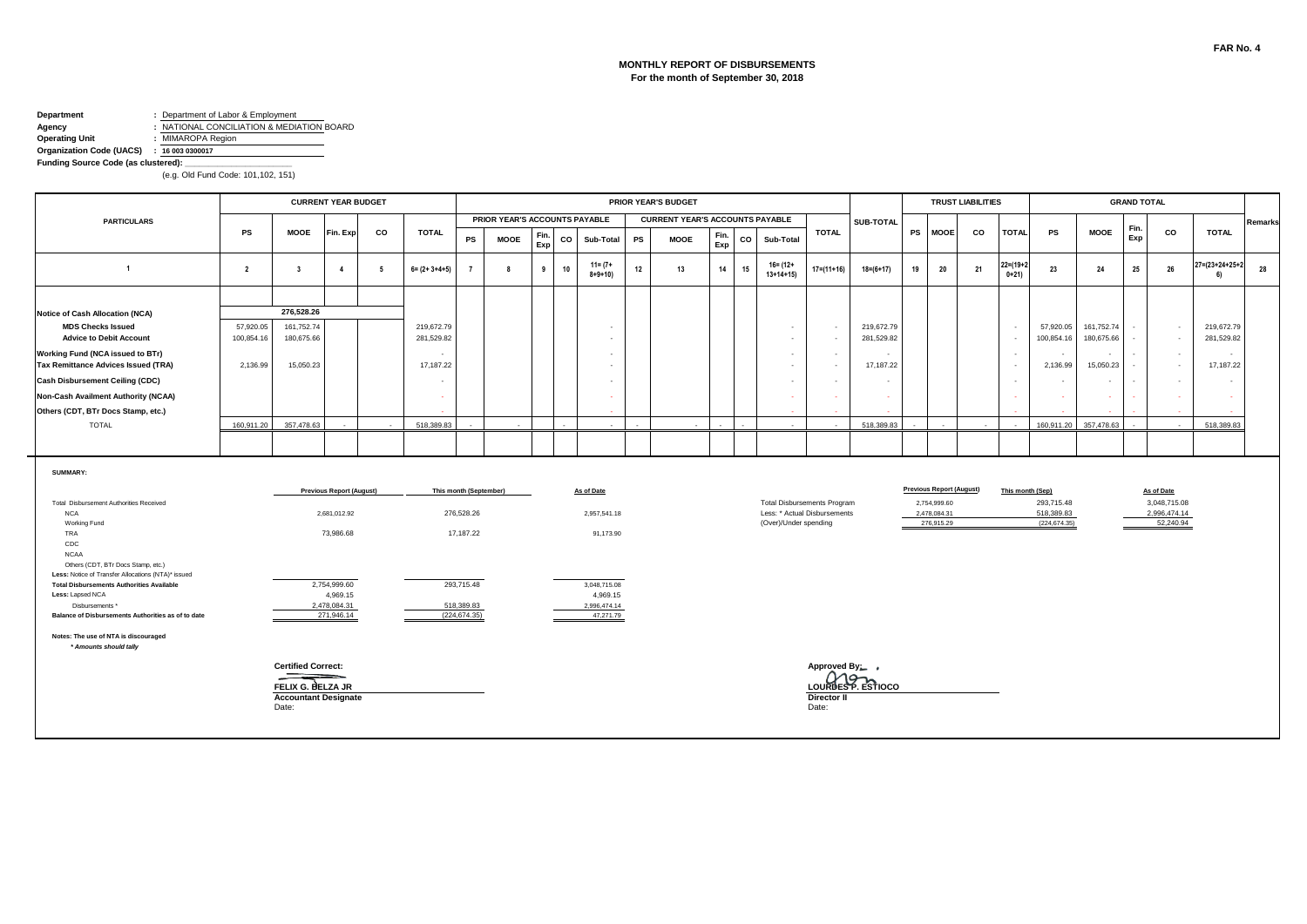#### **MONTHLY REPORT OF DISBURSEMENTS For the month of September 30, 2018**

# **Department :** Department of Labor & Employment<br>**Agency :** NATIONAL CONCILIATION & MEDIA **Agency :** NATIONAL CONCILIATION & MEDIATION BOARD<br> **Operating Unit :** MIMAROPA Region

**Operating Unit :** MIMAROPA Region

**Organization Code (UACS) : 16 003 0300017 Funding Source Code (as clustered): \_\_\_\_\_\_\_\_\_\_\_\_\_\_\_\_\_\_\_\_\_\_\_**

|                                                                                                                                                      |                |                                                                                        | <b>CURRENT YEAR BUDGET</b>                                   |                 |                       |                                                   |                               |             |    |                                         |    | PRIOR YEAR'S BUDGET                    |             |        |                            |                                                                    |                    |    |                                                                               | <b>TRUST LIABILITIES</b> |                           |                                                               |             | <b>GRAND TOTAL</b> |                                                         |                                 |         |
|------------------------------------------------------------------------------------------------------------------------------------------------------|----------------|----------------------------------------------------------------------------------------|--------------------------------------------------------------|-----------------|-----------------------|---------------------------------------------------|-------------------------------|-------------|----|-----------------------------------------|----|----------------------------------------|-------------|--------|----------------------------|--------------------------------------------------------------------|--------------------|----|-------------------------------------------------------------------------------|--------------------------|---------------------------|---------------------------------------------------------------|-------------|--------------------|---------------------------------------------------------|---------------------------------|---------|
| <b>PARTICULARS</b>                                                                                                                                   |                |                                                                                        |                                                              |                 |                       |                                                   | PRIOR YEAR'S ACCOUNTS PAYABLE |             |    |                                         |    | <b>CURRENT YEAR'S ACCOUNTS PAYABLE</b> |             |        |                            |                                                                    | SUB-TOTAL          |    |                                                                               |                          |                           |                                                               |             | Fin.               |                                                         |                                 | Remarks |
|                                                                                                                                                      | <b>PS</b>      | <b>MOOE</b>                                                                            | Fin. Exp                                                     | CO              | <b>TOTAL</b>          | PS                                                | <b>MOOE</b>                   | Fin.<br>Exp | co | Sub-Total                               | PS | <b>MOOE</b>                            | Fin.<br>Exp | co     | Sub-Total                  | <b>TOTAL</b>                                                       |                    |    | PS MOOE                                                                       | co                       | <b>TOTAL</b>              | PS                                                            | <b>MOOE</b> | Exp                | CO                                                      | <b>TOTAL</b>                    |         |
| $\overline{1}$                                                                                                                                       | $\overline{2}$ | $\overline{\mathbf{3}}$                                                                | $\overline{4}$                                               | $5\overline{5}$ | $6 = (2 + 3 + 4 + 5)$ |                                                   | 8                             | 9           | 10 | $11 = (7 +$<br>$8 + 9 + 10$             | 12 | 13                                     | 14          | 15     | $16 = (12 +$<br>$13+14+15$ | $17 = (11 + 16)$                                                   | $18=(6+17)$        | 19 | 20                                                                            | 21                       | $22 = (19 + 2)$<br>$0+21$ | 23                                                            | 24          | 25                 | 26                                                      | $27 = (23 + 24 + 25 + 2)$<br>6) | 28      |
|                                                                                                                                                      |                |                                                                                        |                                                              |                 |                       |                                                   |                               |             |    |                                         |    |                                        |             |        |                            |                                                                    |                    |    |                                                                               |                          |                           |                                                               |             |                    |                                                         |                                 |         |
| <b>Notice of Cash Allocation (NCA)</b>                                                                                                               |                | 276,528.26                                                                             |                                                              |                 |                       |                                                   |                               |             |    |                                         |    |                                        |             |        |                            |                                                                    |                    |    |                                                                               |                          |                           |                                                               |             |                    |                                                         |                                 |         |
| <b>MDS Checks Issued</b>                                                                                                                             | 57,920.05      | 161,752.74                                                                             |                                                              |                 | 219,672.79            |                                                   |                               |             |    |                                         |    |                                        |             |        | $\sim$                     | $\sim$                                                             | 219,672.79         |    |                                                                               |                          | $\sim$                    | 57,920.05                                                     | 161,752.74  | $\sim$             | $\sim$                                                  | 219,672.79                      |         |
| <b>Advice to Debit Account</b>                                                                                                                       | 100,854.16     | 180,675.66                                                                             |                                                              |                 | 281,529.82            |                                                   |                               |             |    |                                         |    |                                        |             |        | $\sim$                     | $\sim$                                                             | 281,529.82         |    |                                                                               |                          | $\sim$                    | 100,854.16                                                    | 180,675.66  | $\sim$             | $\sim$                                                  | 281,529.82                      |         |
| Working Fund (NCA issued to BTr)                                                                                                                     |                |                                                                                        |                                                              |                 |                       |                                                   |                               |             |    |                                         |    |                                        |             |        | $\sim$                     | $\sim$                                                             |                    |    |                                                                               |                          | $\sim$                    | $\overline{\phantom{a}}$                                      |             | $\sim$             | $\sim$                                                  | $\sim$                          |         |
| <b>Tax Remittance Advices Issued (TRA)</b>                                                                                                           | 2,136.99       | 15,050.23                                                                              |                                                              |                 | 17,187.22             |                                                   |                               |             |    |                                         |    |                                        |             |        | $\sim$                     | $\sim$                                                             | 17,187.22          |    |                                                                               |                          | $\sim$                    | 2,136.99                                                      | 15,050.23   | $\sim$             | $\sim$                                                  | 17,187.22                       |         |
| <b>Cash Disbursement Ceiling (CDC)</b>                                                                                                               |                |                                                                                        |                                                              |                 | $\sim$                |                                                   |                               |             |    |                                         |    |                                        |             |        | $\sim$                     | $\sim$                                                             | $\sim$             |    |                                                                               |                          | $\sim$                    | $\sim$                                                        | $\sim$      | $\sim$             | $\sim$                                                  | $\sim$                          |         |
| Non-Cash Availment Authority (NCAA)                                                                                                                  |                |                                                                                        |                                                              |                 | $\sim$                |                                                   |                               |             |    |                                         |    |                                        |             |        | $\sim$                     | $\sim$                                                             | $\sim$             |    |                                                                               |                          | $\sim$                    | ٠.                                                            |             |                    | ÷.                                                      | - 1                             |         |
| Others (CDT, BTr Docs Stamp, etc.)                                                                                                                   |                |                                                                                        |                                                              |                 |                       |                                                   |                               |             |    |                                         |    |                                        |             |        |                            |                                                                    |                    |    |                                                                               |                          |                           |                                                               |             |                    |                                                         |                                 |         |
| <b>TOTAL</b>                                                                                                                                         | 160,911.20     | 357,478.63                                                                             | $\sim$                                                       |                 | 518,389.83            |                                                   | $\sim$                        |             |    |                                         |    | $\sim$                                 |             | $\sim$ | $\sim$                     |                                                                    | 518,389.83         |    |                                                                               |                          |                           | 160,911.20                                                    | 357,478.63  |                    |                                                         | 518,389.83                      |         |
|                                                                                                                                                      |                |                                                                                        |                                                              |                 |                       |                                                   |                               |             |    |                                         |    |                                        |             |        |                            |                                                                    |                    |    |                                                                               |                          |                           |                                                               |             |                    |                                                         |                                 |         |
| SUMMARY:<br>Total Disbursement Authorities Received<br><b>NCA</b><br>Working Fund<br>TRA<br>CDC<br><b>NCAA</b><br>Others (CDT, BTr Docs Stamp, etc.) |                |                                                                                        | <b>Previous Report (August)</b><br>2,681,012.92<br>73,986.68 |                 |                       | This month (September)<br>276,528.26<br>17,187.22 |                               |             |    | As of Date<br>2,957,541.18<br>91,173.90 |    |                                        |             |        | (Over)/Under spending      | <b>Total Disbursements Program</b><br>Less: * Actual Disbursements |                    |    | <b>Previous Report (August)</b><br>2,754,999.60<br>2,478,084.31<br>276,915.29 |                          |                           | This month (Sep)<br>293,715.48<br>518,389.83<br>(224, 674.35) |             |                    | As of Date<br>3,048,715.08<br>2,996,474.14<br>52,240.94 |                                 |         |
| Less: Notice of Transfer Allocations (NTA)* issued<br><b>Total Disbursements Authorities Available</b>                                               |                |                                                                                        | 2,754,999.60                                                 |                 |                       | 293,715.48                                        |                               |             |    | 3,048,715.08                            |    |                                        |             |        |                            |                                                                    |                    |    |                                                                               |                          |                           |                                                               |             |                    |                                                         |                                 |         |
| Less: Lapsed NCA                                                                                                                                     |                |                                                                                        | 4,969.15                                                     |                 |                       |                                                   |                               |             |    | 4,969.15                                |    |                                        |             |        |                            |                                                                    |                    |    |                                                                               |                          |                           |                                                               |             |                    |                                                         |                                 |         |
| Disbursements *<br>Balance of Disbursements Authorities as of to date                                                                                |                |                                                                                        | 2,478,084.31<br>271,946.14                                   |                 |                       | 518,389.83<br>(224, 674.35)                       |                               |             |    | 2,996,474.14<br>47,271.79               |    |                                        |             |        |                            |                                                                    |                    |    |                                                                               |                          |                           |                                                               |             |                    |                                                         |                                 |         |
| Notes: The use of NTA is discouraged<br>* Amounts should tally                                                                                       |                |                                                                                        |                                                              |                 |                       |                                                   |                               |             |    |                                         |    |                                        |             |        |                            |                                                                    |                    |    |                                                                               |                          |                           |                                                               |             |                    |                                                         |                                 |         |
|                                                                                                                                                      |                | <b>Certified Correct:</b><br>FELIX G. BELZA JR<br><b>Accountant Designate</b><br>Date: |                                                              |                 |                       |                                                   |                               |             |    |                                         |    |                                        |             |        |                            | Approved By: ,<br><b>Director II</b><br>Date:                      | LOURDES P. ESTIOCO |    |                                                                               |                          |                           |                                                               |             |                    |                                                         |                                 |         |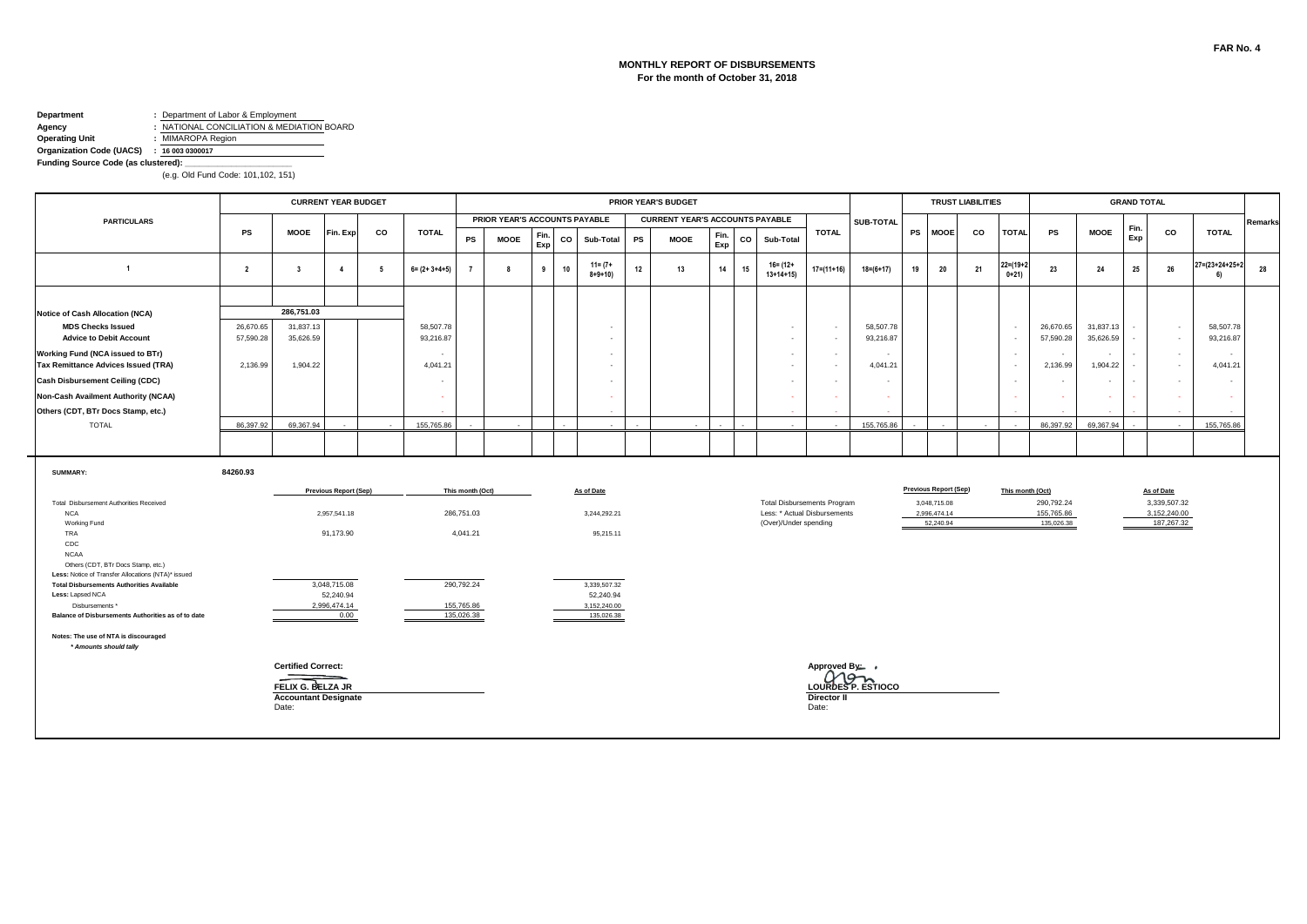#### **MONTHLY REPORT OF DISBURSEMENTS For the month of October 31, 2018**

# **Department :** Department of Labor & Employment<br>**Agency :** NATIONAL CONCILIATION & MEDIA **Agency :** NATIONAL CONCILIATION & MEDIATION BOARD<br> **Operating Unit :** MIMAROPA Region

**Operating Unit :** MIMAROPA Region

#### **Organization Code (UACS) : 16 003 0300017**

**Funding Source Code (as clustered): \_\_\_\_\_\_\_\_\_\_\_\_\_\_\_\_\_\_\_\_\_\_\_**

|                                                                                          |                |                             | <b>CURRENT YEAR BUDGET</b>   |                 |                       |                  |                               |             |        |                             |        | <b>PRIOR YEAR'S BUDGET</b>             |             |    |                                    |                          |                    |    |                              | <b>TRUST LIABILITIES</b> |                            |                          |             | <b>GRAND TOTAL</b> |              |                                 |         |
|------------------------------------------------------------------------------------------|----------------|-----------------------------|------------------------------|-----------------|-----------------------|------------------|-------------------------------|-------------|--------|-----------------------------|--------|----------------------------------------|-------------|----|------------------------------------|--------------------------|--------------------|----|------------------------------|--------------------------|----------------------------|--------------------------|-------------|--------------------|--------------|---------------------------------|---------|
| <b>PARTICULARS</b>                                                                       |                |                             |                              |                 |                       |                  | PRIOR YEAR'S ACCOUNTS PAYABLE |             |        |                             |        | <b>CURRENT YEAR'S ACCOUNTS PAYABLE</b> |             |    |                                    |                          | SUB-TOTAL          |    |                              |                          |                            |                          |             | Fin.               |              |                                 | Remarks |
|                                                                                          | PS             | <b>MOOE</b>                 | Fin. Exp                     | CO              | <b>TOTAL</b>          | PS               | <b>MOOE</b>                   | Fin.<br>Exp | co     | Sub-Total                   | PS     | <b>MOOE</b>                            | Fin.<br>Exp | co | Sub-Total                          | <b>TOTAL</b>             |                    |    | PS MOOE                      | CO                       | <b>TOTAL</b>               | PS                       | <b>MOOE</b> | Exp                | co           | <b>TOTAL</b>                    |         |
| $\overline{1}$                                                                           | $\overline{2}$ | $\overline{\mathbf{3}}$     | $\overline{4}$               | $5\overline{5}$ | $6 = (2 + 3 + 4 + 5)$ |                  | 8                             | 9           | 10     | $11 = (7 +$<br>$8 + 9 + 10$ | 12     | 13                                     | 14          | 15 | $16 = (12 +$<br>$13+14+15$         | $17 = (11 + 16)$         | $18=(6+17)$        | 19 | 20                           | 21                       | $22 = (19 + 2)$<br>$0+21)$ | 23                       | 24          | 25                 | 26           | $27 = (23 + 24 + 25 + 2)$<br>61 | 28      |
|                                                                                          |                |                             |                              |                 |                       |                  |                               |             |        |                             |        |                                        |             |    |                                    |                          |                    |    |                              |                          |                            |                          |             |                    |              |                                 |         |
| <b>Notice of Cash Allocation (NCA)</b>                                                   |                | 286,751.03                  |                              |                 |                       |                  |                               |             |        |                             |        |                                        |             |    |                                    |                          |                    |    |                              |                          |                            |                          |             |                    |              |                                 |         |
| <b>MDS Checks Issued</b>                                                                 | 26,670.65      | 31,837.13                   |                              |                 | 58,507.78             |                  |                               |             |        |                             |        |                                        |             |    | $\sim$                             | $\sim$                   | 58,507.78          |    |                              |                          | $\sim$                     | 26,670.65                | 31,837.13   |                    | $\sim$       | 58,507.78                       |         |
| <b>Advice to Debit Account</b>                                                           | 57,590.28      | 35,626.59                   |                              |                 | 93,216.87             |                  |                               |             |        | $\sim$                      |        |                                        |             |    | $\sim$                             | $\sim$                   | 93,216.87          |    |                              |                          | $\sim$                     | 57,590.28                | 35,626.59   | $\sim$             | $\sim$       | 93,216.87                       |         |
| Working Fund (NCA issued to BTr)                                                         |                |                             |                              |                 |                       |                  |                               |             |        |                             |        |                                        |             |    | $\sim$                             | $\sim$                   | $\sim$             |    |                              |                          | $\overline{\phantom{a}}$   | $\sim$                   |             | $\sim$             | $\sim$       | $\sim$                          |         |
| <b>Tax Remittance Advices Issued (TRA)</b>                                               | 2,136.99       | 1,904.22                    |                              |                 | 4,041.21              |                  |                               |             |        |                             |        |                                        |             |    | $\sim$                             | $\sim$                   | 4,041.21           |    |                              |                          | $\sim$                     | 2,136.99                 | 1,904.22    | $\sim$             | $\sim$       | 4,041.21                        |         |
| <b>Cash Disbursement Ceiling (CDC)</b>                                                   |                |                             |                              |                 | $\sim$                |                  |                               |             |        |                             |        |                                        |             |    | $\sim$                             | $\overline{\phantom{a}}$ | $\sim$             |    |                              |                          | $\sim$                     | $\overline{\phantom{a}}$ |             | $\sim$             | $\sim$       | $\sim$                          |         |
| Non-Cash Availment Authority (NCAA)                                                      |                |                             |                              |                 | . —                   |                  |                               |             |        |                             |        |                                        |             |    |                                    | $\sim$                   | - 1                |    |                              |                          | $\sim$                     |                          |             | $\sim$             |              | . —                             |         |
| Others (CDT, BTr Docs Stamp, etc.)                                                       |                |                             |                              |                 |                       |                  |                               |             |        |                             |        |                                        |             |    |                                    |                          |                    |    |                              |                          |                            |                          |             |                    |              |                                 |         |
| <b>TOTAL</b>                                                                             | 86,397.92      | 69.367.94                   |                              |                 | 155,765.86            |                  | $\sim$                        |             | $\sim$ | $\sim$                      | $\sim$ |                                        |             |    |                                    |                          | 155,765.86         |    |                              |                          |                            | 86,397.92                | 69.367.94   |                    |              | 155,765.86                      |         |
|                                                                                          |                |                             |                              |                 |                       |                  |                               |             |        |                             |        |                                        |             |    |                                    |                          |                    |    |                              |                          |                            |                          |             |                    |              |                                 |         |
| SUMMARY:                                                                                 | 84260.93       |                             |                              |                 |                       |                  |                               |             |        |                             |        |                                        |             |    |                                    |                          |                    |    |                              |                          |                            |                          |             |                    |              |                                 |         |
|                                                                                          |                |                             | <b>Previous Report (Sep)</b> |                 |                       | This month (Oct) |                               |             |        | As of Date                  |        |                                        |             |    |                                    |                          |                    |    | <b>Previous Report (Sep)</b> |                          | This month (Oct)           |                          |             |                    | As of Date   |                                 |         |
| Total Disbursement Authorities Received                                                  |                |                             |                              |                 |                       |                  |                               |             |        |                             |        |                                        |             |    | <b>Total Disbursements Program</b> |                          |                    |    | 3,048,715.08                 |                          |                            | 290,792.24               |             |                    | 3,339,507.32 |                                 |         |
| <b>NCA</b>                                                                               |                |                             | 2,957,541.18                 |                 |                       | 286,751.03       |                               |             |        | 3,244,292.21                |        |                                        |             |    | Less: * Actual Disbursements       |                          |                    |    | 2,996,474.14                 |                          |                            | 155,765.86               |             |                    | 3,152,240.00 |                                 |         |
| Working Fund<br>TRA                                                                      |                |                             | 91,173.90                    |                 |                       | 4,041.21         |                               |             |        | 95,215.11                   |        |                                        |             |    | (Over)/Under spending              |                          |                    |    | 52,240.94                    |                          |                            | 135,026.38               |             |                    | 187,267.32   |                                 |         |
| CDC                                                                                      |                |                             |                              |                 |                       |                  |                               |             |        |                             |        |                                        |             |    |                                    |                          |                    |    |                              |                          |                            |                          |             |                    |              |                                 |         |
| <b>NCAA</b>                                                                              |                |                             |                              |                 |                       |                  |                               |             |        |                             |        |                                        |             |    |                                    |                          |                    |    |                              |                          |                            |                          |             |                    |              |                                 |         |
| Others (CDT, BTr Docs Stamp, etc.)<br>Less: Notice of Transfer Allocations (NTA)* issued |                |                             |                              |                 |                       |                  |                               |             |        |                             |        |                                        |             |    |                                    |                          |                    |    |                              |                          |                            |                          |             |                    |              |                                 |         |
| <b>Total Disbursements Authorities Available</b>                                         |                |                             | 3,048,715.08                 |                 |                       | 290,792.24       |                               |             |        | 3,339,507.32                |        |                                        |             |    |                                    |                          |                    |    |                              |                          |                            |                          |             |                    |              |                                 |         |
| Less: Lapsed NCA<br>Disbursements *                                                      |                |                             | 52,240.94<br>2,996,474.14    |                 |                       | 155,765.86       |                               |             |        | 52,240.94<br>3,152,240.00   |        |                                        |             |    |                                    |                          |                    |    |                              |                          |                            |                          |             |                    |              |                                 |         |
| Balance of Disbursements Authorities as of to date                                       |                |                             | 0.00                         |                 |                       | 135,026.38       |                               |             |        | 135,026,38                  |        |                                        |             |    |                                    |                          |                    |    |                              |                          |                            |                          |             |                    |              |                                 |         |
|                                                                                          |                |                             |                              |                 |                       |                  |                               |             |        |                             |        |                                        |             |    |                                    |                          |                    |    |                              |                          |                            |                          |             |                    |              |                                 |         |
| Notes: The use of NTA is discouraged<br>* Amounts should tally                           |                |                             |                              |                 |                       |                  |                               |             |        |                             |        |                                        |             |    |                                    |                          |                    |    |                              |                          |                            |                          |             |                    |              |                                 |         |
|                                                                                          |                |                             |                              |                 |                       |                  |                               |             |        |                             |        |                                        |             |    |                                    |                          |                    |    |                              |                          |                            |                          |             |                    |              |                                 |         |
|                                                                                          |                | <b>Certified Correct:</b>   |                              |                 |                       |                  |                               |             |        |                             |        |                                        |             |    |                                    | Approved By: ,           |                    |    |                              |                          |                            |                          |             |                    |              |                                 |         |
|                                                                                          |                | FELIX G. BELZA JR           |                              |                 |                       |                  |                               |             |        |                             |        |                                        |             |    |                                    |                          | LOURDES P. ESTIOCO |    |                              |                          |                            |                          |             |                    |              |                                 |         |
|                                                                                          |                | <b>Accountant Designate</b> |                              |                 |                       |                  |                               |             |        |                             |        |                                        |             |    |                                    | <b>Director II</b>       |                    |    |                              |                          |                            |                          |             |                    |              |                                 |         |
|                                                                                          |                | Date:                       |                              |                 |                       |                  |                               |             |        |                             |        |                                        |             |    |                                    | Date:                    |                    |    |                              |                          |                            |                          |             |                    |              |                                 |         |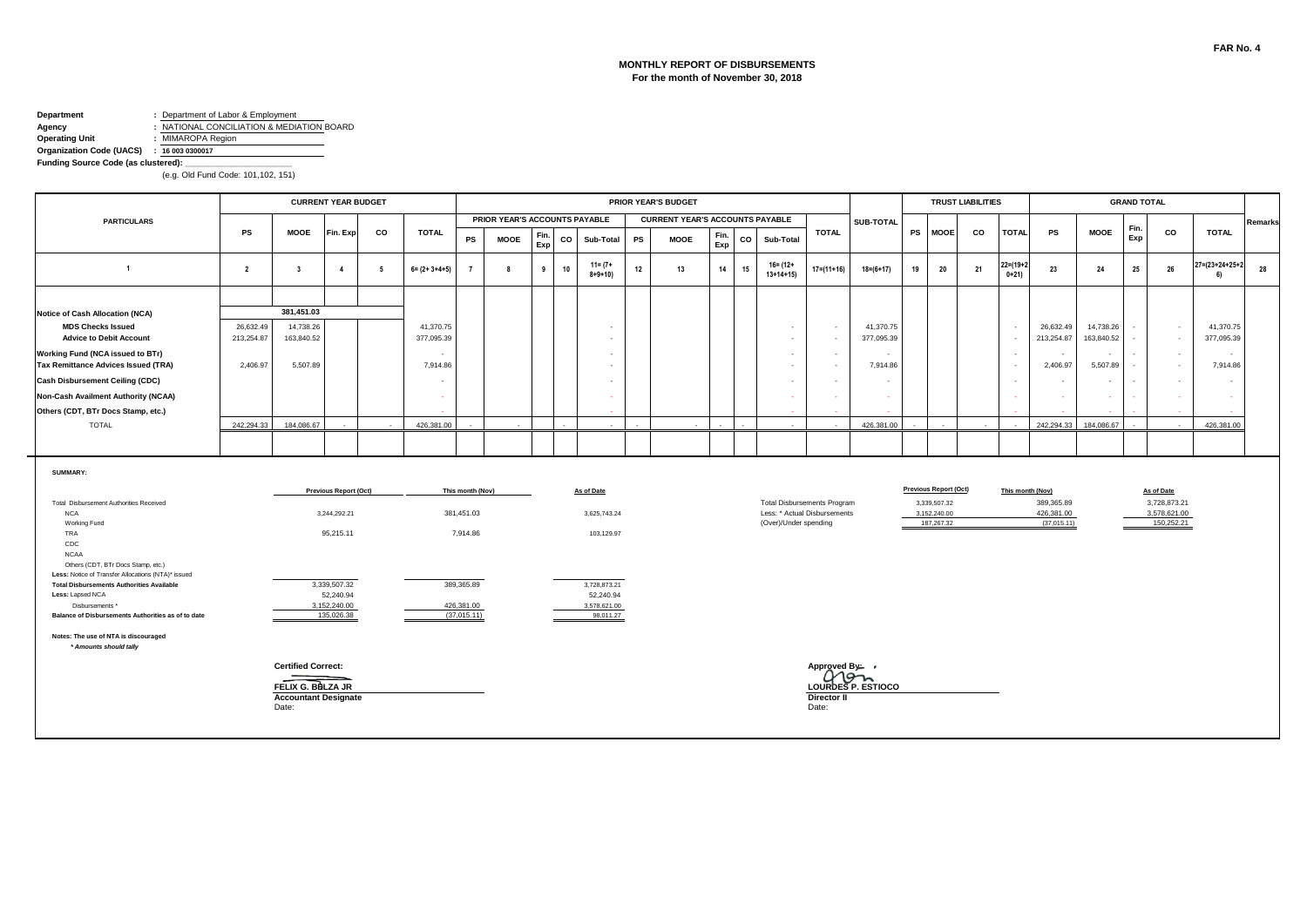#### **MONTHLY REPORT OF DISBURSEMENTS For the month of November 30, 2018**

# **Department :** Department of Labor & Employment<br>**Agency :** NATIONAL CONCILIATION & MEDIA **Agency :** NATIONAL CONCILIATION & MEDIATION BOARD<br> **Operating Unit :** MIMAROPA Region

**Operating Unit :** MIMAROPA Region

**Organization Code (UACS) : 16 003 0300017 Funding Source Code (as clustered): \_\_\_\_\_\_\_\_\_\_\_\_\_\_\_\_\_\_\_\_\_\_\_**

|                                                                                                        |                         |                                                                                        | <b>CURRENT YEAR BUDGET</b>              |    |                         |                           |                               |             |    |                                        | PRIOR YEAR'S BUDGET |                                        |             |             |                                                                                             |                                                      |                                      |    |                                            | <b>TRUST LIABILITIES</b> |                       |                  |                                         |                         | <b>GRAND TOTAL</b> |                                            |                                 |         |
|--------------------------------------------------------------------------------------------------------|-------------------------|----------------------------------------------------------------------------------------|-----------------------------------------|----|-------------------------|---------------------------|-------------------------------|-------------|----|----------------------------------------|---------------------|----------------------------------------|-------------|-------------|---------------------------------------------------------------------------------------------|------------------------------------------------------|--------------------------------------|----|--------------------------------------------|--------------------------|-----------------------|------------------|-----------------------------------------|-------------------------|--------------------|--------------------------------------------|---------------------------------|---------|
| <b>PARTICULARS</b>                                                                                     |                         |                                                                                        |                                         |    |                         |                           | PRIOR YEAR'S ACCOUNTS PAYABLE |             |    |                                        |                     | <b>CURRENT YEAR'S ACCOUNTS PAYABLE</b> |             |             |                                                                                             |                                                      | SUB-TOTAL                            |    |                                            |                          |                       |                  |                                         |                         | Fin.               |                                            |                                 | Remarks |
|                                                                                                        | <b>PS</b>               | <b>MOOE</b>                                                                            | Fin. Exp                                | CO | <b>TOTAL</b>            | PS                        | <b>MOOE</b>                   | Fin.<br>Exp | co | Sub-Total                              | PS                  | <b>MOOE</b>                            | Fin.<br>Exp | $_{\rm co}$ | Sub-Total                                                                                   | <b>TOTAL</b>                                         |                                      |    | PS MOOE                                    | co                       | <b>TOTAL</b>          |                  | <b>PS</b>                               | <b>MOOE</b>             | Exp                | co                                         | <b>TOTAL</b>                    |         |
| $\overline{1}$                                                                                         | $\overline{2}$          | $\overline{\mathbf{3}}$                                                                | $\overline{4}$                          | 5  | $6 = (2 + 3 + 4 + 5)$   |                           | 8                             | 9           | 10 | $11 = (7 +$<br>$8 + 9 + 10$            | 12                  | 13                                     | 14          | 15          | 16= (12+<br>$13+14+15$                                                                      | $17=(11+16)$                                         | $18 = (6 + 17)$                      | 19 | 20                                         | 21                       | $22=(19+2)$<br>$0+21$ |                  | 23                                      | 24                      | 25                 | 26                                         | $27 = (23 + 24 + 25 + 2)$<br>61 | 28      |
|                                                                                                        |                         |                                                                                        |                                         |    |                         |                           |                               |             |    |                                        |                     |                                        |             |             |                                                                                             |                                                      |                                      |    |                                            |                          |                       |                  |                                         |                         |                    |                                            |                                 |         |
| <b>Notice of Cash Allocation (NCA)</b>                                                                 |                         | 381,451.03                                                                             |                                         |    |                         |                           |                               |             |    |                                        |                     |                                        |             |             |                                                                                             |                                                      |                                      |    |                                            |                          |                       |                  |                                         |                         |                    |                                            |                                 |         |
| <b>MDS Checks Issued</b><br><b>Advice to Debit Account</b>                                             | 26,632.49<br>213,254.87 | 14,738.26<br>163,840.52                                                                |                                         |    | 41,370.75<br>377,095.39 |                           |                               |             |    | $\overline{\phantom{a}}$               |                     |                                        |             |             | $\overline{\phantom{a}}$                                                                    | $\overline{\phantom{a}}$<br>$\overline{\phantom{a}}$ | 41,370.75<br>377,095.39              |    |                                            |                          |                       |                  | 26,632.49<br>213,254.87                 | 14,738.26<br>163,840.52 |                    | $\sim$<br>$\sim$                           | 41,370.75<br>377,095.39         |         |
| <b>Working Fund (NCA issued to BTr)</b><br><b>Tax Remittance Advices Issued (TRA)</b>                  | 2,406.97                | 5,507.89                                                                               |                                         |    | $\sim$<br>7,914.86      |                           |                               |             |    | $\sim$                                 |                     |                                        |             |             | $\sim$                                                                                      | $\sim$<br>$\blacksquare$                             | $\overline{\phantom{a}}$<br>7,914.86 |    |                                            |                          |                       |                  | $\overline{\phantom{a}}$<br>2,406.97    | 5,507.89                |                    | $\sim$<br>$\sim$                           | $\sim$<br>7,914.86              |         |
| <b>Cash Disbursement Ceiling (CDC)</b>                                                                 |                         |                                                                                        |                                         |    | $\sim$                  |                           |                               |             |    |                                        |                     |                                        |             |             |                                                                                             | $\sim$                                               | $\overline{\phantom{a}}$             |    |                                            |                          |                       |                  | $\overline{\phantom{a}}$                |                         |                    | $\sim$                                     | $\sim$                          |         |
| Non-Cash Availment Authority (NCAA)                                                                    |                         |                                                                                        |                                         |    |                         |                           |                               |             |    |                                        |                     |                                        |             |             |                                                                                             |                                                      | - 4                                  |    |                                            |                          |                       |                  |                                         |                         |                    |                                            | - 1                             |         |
| Others (CDT, BTr Docs Stamp, etc.)                                                                     |                         |                                                                                        |                                         |    |                         |                           |                               |             |    |                                        |                     |                                        |             |             |                                                                                             |                                                      |                                      |    |                                            |                          |                       |                  |                                         |                         |                    |                                            |                                 |         |
| <b>TOTAL</b>                                                                                           | 242,294.33              | 184,086.67                                                                             |                                         |    | 426,381.00              |                           | $\sim$                        |             |    |                                        |                     |                                        |             |             |                                                                                             |                                                      | 426,381.00                           |    |                                            |                          |                       |                  | 242,294.33                              | 184.086.67              |                    |                                            | 426,381.00                      |         |
|                                                                                                        |                         |                                                                                        |                                         |    |                         |                           |                               |             |    |                                        |                     |                                        |             |             |                                                                                             |                                                      |                                      |    |                                            |                          |                       |                  |                                         |                         |                    |                                            |                                 |         |
| SUMMARY:                                                                                               |                         |                                                                                        | <b>Previous Report (Oct)</b>            |    |                         | This month (Nov)          |                               |             |    | As of Date                             |                     |                                        |             |             |                                                                                             |                                                      |                                      |    | <b>Previous Report (Oct)</b>               |                          |                       | This month (Nov) |                                         |                         |                    | As of Date                                 |                                 |         |
| Total Disbursement Authorities Received<br><b>NCA</b><br>Working Fund                                  |                         |                                                                                        | 3,244,292.21                            |    |                         | 381,451.03                |                               |             |    | 3,625,743.24                           |                     |                                        |             |             | <b>Total Disbursements Program</b><br>Less: * Actual Disbursements<br>(Over)/Under spending |                                                      |                                      |    | 3,339,507.32<br>3,152,240.00<br>187,267.32 |                          |                       |                  | 389,365.89<br>426,381.00<br>(37,015.11) |                         |                    | 3,728,873.21<br>3,578,621.00<br>150,252.21 |                                 |         |
| TRA<br>CDC<br><b>NCAA</b><br>Others (CDT, BTr Docs Stamp, etc.)                                        |                         |                                                                                        | 95,215.11                               |    |                         | 7,914.86                  |                               |             |    | 103,129.97                             |                     |                                        |             |             |                                                                                             |                                                      |                                      |    |                                            |                          |                       |                  |                                         |                         |                    |                                            |                                 |         |
| Less: Notice of Transfer Allocations (NTA)* issued<br><b>Total Disbursements Authorities Available</b> |                         |                                                                                        | 3,339,507.32                            |    |                         | 389,365.89                |                               |             |    | 3,728,873.21                           |                     |                                        |             |             |                                                                                             |                                                      |                                      |    |                                            |                          |                       |                  |                                         |                         |                    |                                            |                                 |         |
| Less: Lapsed NCA<br>Disbursements *<br>Balance of Disbursements Authorities as of to date              |                         |                                                                                        | 52,240.94<br>3,152,240.00<br>135,026.38 |    |                         | 426,381.00<br>(37,015.11) |                               |             |    | 52,240.94<br>3,578,621.00<br>98,011.27 |                     |                                        |             |             |                                                                                             |                                                      |                                      |    |                                            |                          |                       |                  |                                         |                         |                    |                                            |                                 |         |
| Notes: The use of NTA is discouraged<br>* Amounts should tally                                         |                         |                                                                                        |                                         |    |                         |                           |                               |             |    |                                        |                     |                                        |             |             |                                                                                             |                                                      |                                      |    |                                            |                          |                       |                  |                                         |                         |                    |                                            |                                 |         |
|                                                                                                        |                         | <b>Certified Correct:</b><br>FELIX G. BELZA JR<br><b>Accountant Designate</b><br>Date: |                                         |    |                         |                           |                               |             |    |                                        |                     |                                        |             |             |                                                                                             | Approved By: •<br><b>Director II</b><br>Date:        | LOURDES P. ESTIOCO                   |    |                                            |                          |                       |                  |                                         |                         |                    |                                            |                                 |         |